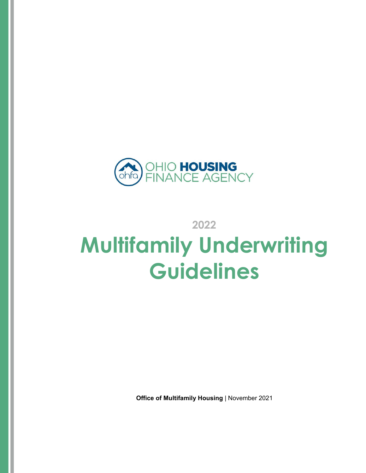

**2022** 

# **Multifamily Underwriting Guidelines**

**Office of Multifamily Housing** | November 2021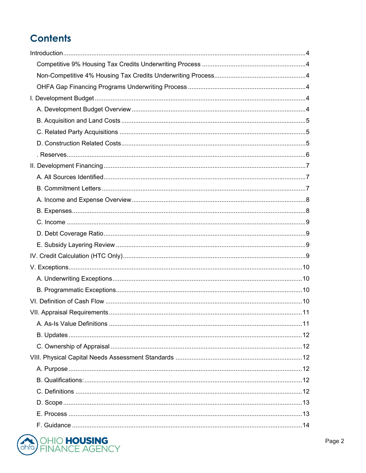# **Contents**

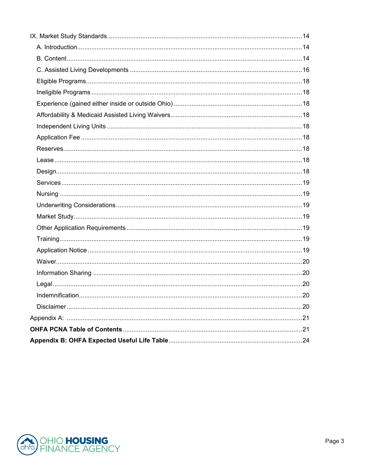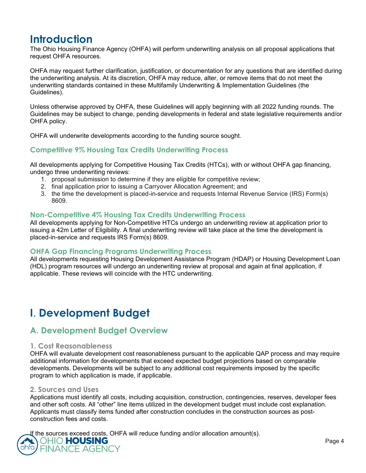# **Introduction**

The Ohio Housing Finance Agency (OHFA) will perform underwriting analysis on all proposal applications that request OHFA resources.

OHFA may request further clarification, justification, or documentation for any questions that are identified during the underwriting analysis. At its discretion, OHFA may reduce, alter, or remove items that do not meet the underwriting standards contained in these Multifamily Underwriting & Implementation Guidelines (the Guidelines).

Unless otherwise approved by OHFA, these Guidelines will apply beginning with all 2022 funding rounds. The Guidelines may be subject to change, pending developments in federal and state legislative requirements and/or OHFA policy.

OHFA will underwrite developments according to the funding source sought.

#### **Competitive 9% Housing Tax Credits Underwriting Process**

All developments applying for Competitive Housing Tax Credits (HTCs), with or without OHFA gap financing, undergo three underwriting reviews:

- 1. proposal submission to determine if they are eligible for competitive review;
- 2. final application prior to issuing a Carryover Allocation Agreement; and
- 3. the time the development is placed-in-service and requests Internal Revenue Service (IRS) Form(s) 8609.

#### **Non-Competitive 4% Housing Tax Credits Underwriting Process**

All developments applying for Non-Competitive HTCs undergo an underwriting review at application prior to issuing a 42m Letter of Eligibility. A final underwriting review will take place at the time the development is placed-in-service and requests IRS Form(s) 8609.

#### **OHFA Gap Financing Programs Underwriting Process**

All developments requesting Housing Development Assistance Program (HDAP) or Housing Development Loan (HDL) program resources will undergo an underwriting review at proposal and again at final application, if applicable. These reviews will coincide with the HTC underwriting.

# **I**. **Development Budget**

# **A. Development Budget Overview**

#### **1. Cost Reasonableness**

OHFA will evaluate development cost reasonableness pursuant to the applicable QAP process and may require additional information for developments that exceed expected budget projections based on comparable developments. Developments will be subject to any additional cost requirements imposed by the specific program to which application is made, if applicable.

#### **2. Sources and Uses**

Applications must identify all costs, including acquisition, construction, contingencies, reserves, developer fees and other soft costs. All "other" line items utilized in the development budget must include cost explanation. Applicants must classify items funded after construction concludes in the construction sources as postconstruction fees and costs.

If the sources exceed costs, OHFA will reduce funding and/or allocation amount(s).

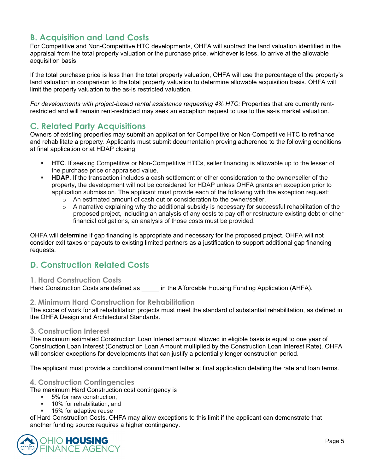# **B. Acquisition and Land Costs**

For Competitive and Non-Competitive HTC developments, OHFA will subtract the land valuation identified in the appraisal from the total property valuation or the purchase price, whichever is less, to arrive at the allowable acquisition basis.

If the total purchase price is less than the total property valuation, OHFA will use the percentage of the property's land valuation in comparison to the total property valuation to determine allowable acquisition basis. OHFA will limit the property valuation to the as-is restricted valuation.

*For developments with project-based rental assistance requesting 4% HTC:* Properties that are currently rentrestricted and will remain rent-restricted may seek an exception request to use to the as-is market valuation.

# **C. Related Party Acquisitions**

Owners of existing properties may submit an application for Competitive or Non-Competitive HTC to refinance and rehabilitate a property. Applicants must submit documentation proving adherence to the following conditions at final application or at HDAP closing:

- **HTC**. If seeking Competitive or Non-Competitive HTCs, seller financing is allowable up to the lesser of the purchase price or appraised value.
- **HDAP**. If the transaction includes a cash settlement or other consideration to the owner/seller of the property, the development will not be considered for HDAP unless OHFA grants an exception prior to application submission. The applicant must provide each of the following with the exception request:
	- o An estimated amount of cash out or consideration to the owner/seller.
	- $\circ$  A narrative explaining why the additional subsidy is necessary for successful rehabilitation of the proposed project, including an analysis of any costs to pay off or restructure existing debt or other financial obligations, an analysis of those costs must be provided.

OHFA will determine if gap financing is appropriate and necessary for the proposed project. OHFA will not consider exit taxes or payouts to existing limited partners as a justification to support additional gap financing requests.

# **D. Construction Related Costs**

#### **1. Hard Construction Costs**

Hard Construction Costs are defined as  $\qquad \qquad$  in the Affordable Housing Funding Application (AHFA).

#### **2. Minimum Hard Construction for Rehabilitation**

The scope of work for all rehabilitation projects must meet the standard of substantial rehabilitation, as defined in the OHFA Design and Architectural Standards.

#### **3. Construction Interest**

The maximum estimated Construction Loan Interest amount allowed in eligible basis is equal to one year of Construction Loan Interest (Construction Loan Amount multiplied by the Construction Loan Interest Rate). OHFA will consider exceptions for developments that can justify a potentially longer construction period.

The applicant must provide a conditional commitment letter at final application detailing the rate and loan terms.

#### **4. Construction Contingencies**

The maximum Hard Construction cost contingency is

- 5% for new construction.
- **10%** for rehabilitation, and
- 15% for adaptive reuse

of Hard Construction Costs. OHFA may allow exceptions to this limit if the applicant can demonstrate that another funding source requires a higher contingency.

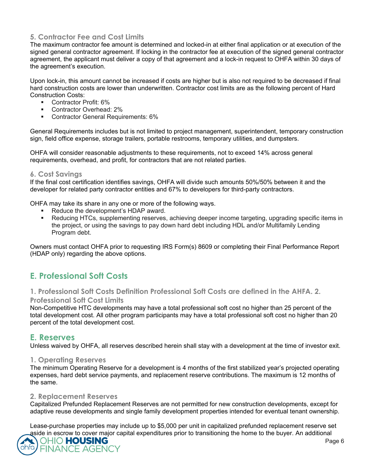#### **5. Contractor Fee and Cost Limits**

The maximum contractor fee amount is determined and locked-in at either final application or at execution of the signed general contractor agreement. If locking in the contractor fee at execution of the signed general contractor agreement, the applicant must deliver a copy of that agreement and a lock-in request to OHFA within 30 days of the agreement's execution.

Upon lock-in, this amount cannot be increased if costs are higher but is also not required to be decreased if final hard construction costs are lower than underwritten. Contractor cost limits are as the following percent of Hard Construction Costs:

- Contractor Profit: 6%
- **Contractor Overhead: 2%**
- **Contractor General Requirements: 6%**

General Requirements includes but is not limited to project management, superintendent, temporary construction sign, field office expense, storage trailers, portable restrooms, temporary utilities, and dumpsters.

OHFA will consider reasonable adjustments to these requirements, not to exceed 14% across general requirements, overhead, and profit, for contractors that are not related parties.

#### **6. Cost Savings**

If the final cost certification identifies savings, OHFA will divide such amounts 50%/50% between it and the developer for related party contractor entities and 67% to developers for third-party contractors.

OHFA may take its share in any one or more of the following ways.

- Reduce the development's HDAP award.
- Reducing HTCs, supplementing reserves, achieving deeper income targeting, upgrading specific items in the project, or using the savings to pay down hard debt including HDL and/or Multifamily Lending Program debt.

Owners must contact OHFA prior to requesting IRS Form(s) 8609 or completing their Final Performance Report (HDAP only) regarding the above options.

# **E. Professional Soft Costs**

# **1. Professional Soft Costs Definition Professional Soft Costs are defined in the AHFA. 2.**

#### **Professional Soft Cost Limits**

Non-Competitive HTC developments may have a total professional soft cost no higher than 25 percent of the total development cost. All other program participants may have a total professional soft cost no higher than 20 percent of the total development cost.

### **E. Reserves**

Unless waived by OHFA, all reserves described herein shall stay with a development at the time of investor exit.

#### **1. Operating Reserves**

The minimum Operating Reserve for a development is 4 months of the first stabilized year's projected operating expenses, hard debt service payments, and replacement reserve contributions. The maximum is 12 months of the same.

#### **2. Replacement Reserves**

Capitalized Prefunded Replacement Reserves are not permitted for new construction developments, except for adaptive reuse developments and single family development properties intended for eventual tenant ownership.

Lease-purchase properties may include up to \$5,000 per unit in capitalized prefunded replacement reserve set aside in escrow to cover major capital expenditures prior to transitioning the home to the buyer. An additional

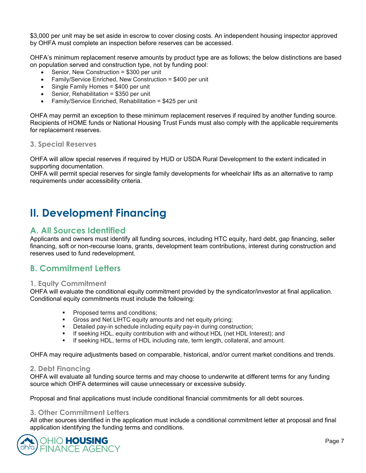\$3,000 per unit may be set aside in escrow to cover closing costs. An independent housing inspector approved by OHFA must complete an inspection before reserves can be accessed.

OHFA's minimum replacement reserve amounts by product type are as follows; the below distinctions are based on population served and construction type, not by funding pool:

- Senior, New Construction = \$300 per unit
- Family/Service Enriched, New Construction = \$400 per unit
- Single Family Homes = \$400 per unit
- Senior, Rehabilitation = \$350 per unit
- Family/Service Enriched, Rehabilitation = \$425 per unit

OHFA may permit an exception to these minimum replacement reserves if required by another funding source. Recipients of HOME funds or National Housing Trust Funds must also comply with the applicable requirements for replacement reserves.

#### **3. Special Reserves**

OHFA will allow special reserves if required by HUD or USDA Rural Development to the extent indicated in supporting documentation.

OHFA will permit special reserves for single family developments for wheelchair lifts as an alternative to ramp requirements under accessibility criteria.

# **II. Development Financing**

# **A. All Sources Identified**

Applicants and owners must identify all funding sources, including HTC equity, hard debt, gap financing, seller financing, soft or non-recourse loans, grants, development team contributions, interest during construction and reserves used to fund redevelopment.

# **B. Commitment Letters**

#### **1. Equity Commitment**

OHFA will evaluate the conditional equity commitment provided by the syndicator/investor at final application. Conditional equity commitments must include the following:

- Proposed terms and conditions;
- Gross and Net LIHTC equity amounts and net equity pricing;
- Detailed pay-in schedule including equity pay-in during construction;
- If seeking HDL, equity contribution with and without HDL (net HDL Interest); and
- If seeking HDL, terms of HDL including rate, term length, collateral, and amount.

OHFA may require adjustments based on comparable, historical, and/or current market conditions and trends.

#### **2. Debt Financing**

OHFA will evaluate all funding source terms and may choose to underwrite at different terms for any funding source which OHFA determines will cause unnecessary or excessive subsidy.

Proposal and final applications must include conditional financial commitments for all debt sources.

#### **3. Other Commitment Letters**

All other sources identified in the application must include a conditional commitment letter at proposal and final application identifying the funding terms and conditions.

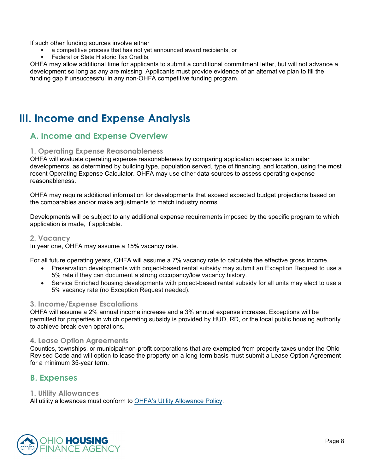If such other funding sources involve either

- a competitive process that has not yet announced award recipients, or
- Federal or State Historic Tax Credits,

OHFA may allow additional time for applicants to submit a conditional commitment letter, but will not advance a development so long as any are missing. Applicants must provide evidence of an alternative plan to fill the funding gap if unsuccessful in any non-OHFA competitive funding program.

# **III. Income and Expense Analysis**

# **A. Income and Expense Overview**

#### **1. Operating Expense Reasonableness**

OHFA will evaluate operating expense reasonableness by comparing application expenses to similar developments, as determined by building type, population served, type of financing, and location, using the most recent Operating Expense Calculator. OHFA may use other data sources to assess operating expense reasonableness.

OHFA may require additional information for developments that exceed expected budget projections based on the comparables and/or make adjustments to match industry norms.

Developments will be subject to any additional expense requirements imposed by the specific program to which application is made, if applicable.

#### **2. Vacancy**

In year one, OHFA may assume a 15% vacancy rate.

For all future operating years, OHFA will assume a 7% vacancy rate to calculate the effective gross income.

- Preservation developments with project-based rental subsidy may submit an Exception Request to use a 5% rate if they can document a strong occupancy/low vacancy history.
- Service Enriched housing developments with project-based rental subsidy for all units may elect to use a 5% vacancy rate (no Exception Request needed).

#### **3. Income/Expense Escalations**

OHFA will assume a 2% annual income increase and a 3% annual expense increase. Exceptions will be permitted for properties in which operating subsidy is provided by HUD, RD, or the local public housing authority to achieve break-even operations.

#### **4. Lease Option Agreements**

Counties, townships, or municipal/non-profit corporations that are exempted from property taxes under the Ohio Revised Code and will option to lease the property on a long-term basis must submit a Lease Option Agreement for a minimum 35-year term.

### **B. Expenses**

#### **1. Utility Allowances**

All utility allowances must conform to OHFA's Utility Allowance Policy.

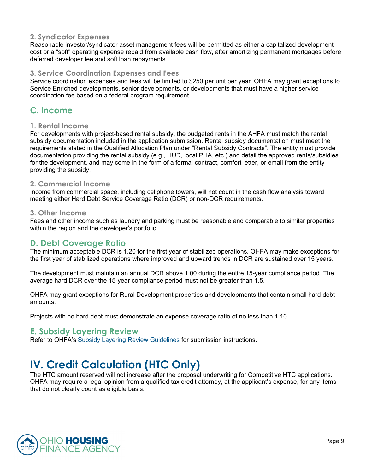#### **2. Syndicator Expenses**

Reasonable investor/syndicator asset management fees will be permitted as either a capitalized development cost or a "soft" operating expense repaid from available cash flow, after amortizing permanent mortgages before deferred developer fee and soft loan repayments.

#### **3. Service Coordination Expenses and Fees**

Service coordination expenses and fees will be limited to \$250 per unit per year. OHFA may grant exceptions to Service Enriched developments, senior developments, or developments that must have a higher service coordination fee based on a federal program requirement.

# **C. Income**

#### **1. Rental Income**

For developments with project-based rental subsidy, the budgeted rents in the AHFA must match the rental subsidy documentation included in the application submission. Rental subsidy documentation must meet the requirements stated in the Qualified Allocation Plan under "Rental Subsidy Contracts". The entity must provide documentation providing the rental subsidy (e.g., HUD, local PHA, etc.) and detail the approved rents/subsidies for the development, and may come in the form of a formal contract, comfort letter, or email from the entity providing the subsidy.

#### **2. Commercial Income**

Income from commercial space, including cellphone towers, will not count in the cash flow analysis toward meeting either Hard Debt Service Coverage Ratio (DCR) or non-DCR requirements.

#### **3. Other Income**

Fees and other income such as laundry and parking must be reasonable and comparable to similar properties within the region and the developer's portfolio.

### **D. Debt Coverage Ratio**

The minimum acceptable DCR is 1.20 for the first year of stabilized operations. OHFA may make exceptions for the first year of stabilized operations where improved and upward trends in DCR are sustained over 15 years.

The development must maintain an annual DCR above 1.00 during the entire 15-year compliance period. The average hard DCR over the 15-year compliance period must not be greater than 1.5.

OHFA may grant exceptions for Rural Development properties and developments that contain small hard debt amounts.

Projects with no hard debt must demonstrate an expense coverage ratio of no less than 1.10.

### **E. Subsidy Layering Review**

Refer to OHFA's Subsidy Layering Review Guidelines for submission instructions.

# **IV. Credit Calculation (HTC Only)**

The HTC amount reserved will not increase after the proposal underwriting for Competitive HTC applications. OHFA may require a legal opinion from a qualified tax credit attorney, at the applicant's expense, for any items that do not clearly count as eligible basis.

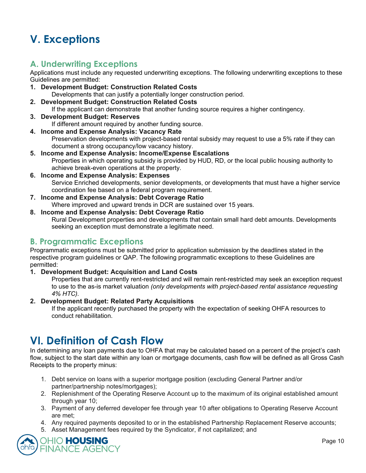# **V. Exceptions**

# **A. Underwriting Exceptions**

Applications must include any requested underwriting exceptions. The following underwriting exceptions to these Guidelines are permitted:

- **1. Development Budget: Construction Related Costs**  Developments that can justify a potentially longer construction period.
- **2. Development Budget: Construction Related Costs**  If the applicant can demonstrate that another funding source requires a higher contingency.
- **3. Development Budget: Reserves**  If different amount required by another funding source.
- **4. Income and Expense Analysis: Vacancy Rate**  Preservation developments with project-based rental subsidy may request to use a 5% rate if they can document a strong occupancy/low vacancy history.
- **5. Income and Expense Analysis: Income/Expense Escalations**  Properties in which operating subsidy is provided by HUD, RD, or the local public housing authority to achieve break-even operations at the property.
- **6. Income and Expense Analysis: Expenses**  Service Enriched developments, senior developments, or developments that must have a higher service coordination fee based on a federal program requirement.
- **7. Income and Expense Analysis: Debt Coverage Ratio**
- Where improved and upward trends in DCR are sustained over 15 years.

#### **8. Income and Expense Analysis: Debt Coverage Ratio**

Rural Development properties and developments that contain small hard debt amounts. Developments seeking an exception must demonstrate a legitimate need.

# **B. Programmatic Exceptions**

Programmatic exceptions must be submitted prior to application submission by the deadlines stated in the respective program guidelines or QAP. The following programmatic exceptions to these Guidelines are permitted:

#### **1. Development Budget: Acquisition and Land Costs**

Properties that are currently rent-restricted and will remain rent-restricted may seek an exception request to use to the as-is market valuation *(only developments with project-based rental assistance requesting 4% HTC).*

#### **2. Development Budget: Related Party Acquisitions**

If the applicant recently purchased the property with the expectation of seeking OHFA resources to conduct rehabilitation.

# **VI. Definition of Cash Flow**

In determining any loan payments due to OHFA that may be calculated based on a percent of the project's cash flow, subject to the start date within any loan or mortgage documents, cash flow will be defined as all Gross Cash Receipts to the property minus:

- 1. Debt service on loans with a superior mortgage position (excluding General Partner and/or partner/partnership notes/mortgages);
- 2. Replenishment of the Operating Reserve Account up to the maximum of its original established amount through year 10;
- 3. Payment of any deferred developer fee through year 10 after obligations to Operating Reserve Account are met;
- 4. Any required payments deposited to or in the established Partnership Replacement Reserve accounts;
- 5. Asset Management fees required by the Syndicator, if not capitalized; and

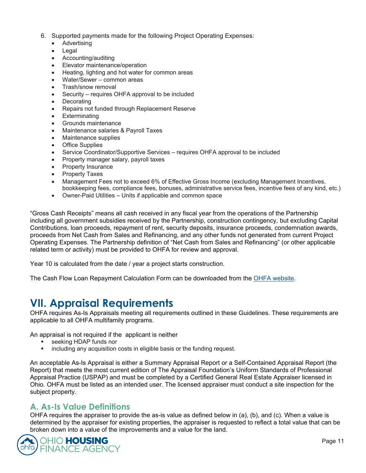- 6. Supported payments made for the following Project Operating Expenses:
	- Advertising
	- Legal
	- Accounting/auditing
	- Elevator maintenance/operation
	- Heating, lighting and hot water for common areas
	- Water/Sewer common areas
	- Trash/snow removal
	- Security requires OHFA approval to be included
	- **Decorating**
	- Repairs not funded through Replacement Reserve
	- **Exterminating**
	- Grounds maintenance
	- Maintenance salaries & Payroll Taxes
	- Maintenance supplies
	- Office Supplies
	- Service Coordinator/Supportive Services requires OHFA approval to be included
	- Property manager salary, payroll taxes
	- Property Insurance
	- Property Taxes
	- Management Fees not to exceed 6% of Effective Gross Income (excluding Management Incentives, bookkeeping fees, compliance fees, bonuses, administrative service fees, incentive fees of any kind, etc.)
	- Owner-Paid Utilities Units if applicable and common space

"Gross Cash Receipts" means all cash received in any fiscal year from the operations of the Partnership including all government subsidies received by the Partnership, construction contingency, but excluding Capital Contributions, loan proceeds, repayment of rent, security deposits, insurance proceeds, condemnation awards, proceeds from Net Cash from Sales and Refinancing, and any other funds not generated from current Project Operating Expenses. The Partnership definition of "Net Cash from Sales and Refinancing" (or other applicable related term or activity) must be provided to OHFA for review and approval.

Year 10 is calculated from the date / year a project starts construction.

The Cash Flow Loan Repayment Calculation Form can be downloaded from the OHFA website.

# **VII. Appraisal Requirements**

OHFA requires As-Is Appraisals meeting all requirements outlined in these Guidelines. These requirements are applicable to all OHFA multifamily programs.

An appraisal is not required if the applicant is neither

- **seeking HDAP funds nor**
- **EXEDEE INCOLLEGEE IS NOTE** including any acquisition costs in eligible basis or the funding request.

An acceptable As-Is Appraisal is either a Summary Appraisal Report or a Self-Contained Appraisal Report (the Report) that meets the most current edition of The Appraisal Foundation's Uniform Standards of Professional Appraisal Practice (USPAP) and must be completed by a Certified General Real Estate Appraiser licensed in Ohio. OHFA must be listed as an intended user. The licensed appraiser must conduct a site inspection for the subject property.

# **A. As-Is Value Definitions**

OHFA requires the appraiser to provide the as-is value as defined below in (a), (b), and (c). When a value is determined by the appraiser for existing properties, the appraiser is requested to reflect a total value that can be broken down into a value of the improvements and a value for the land.

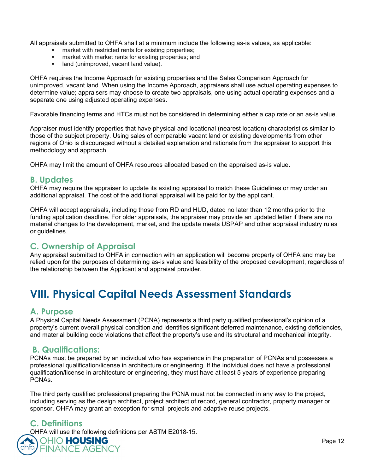All appraisals submitted to OHFA shall at a minimum include the following as-is values, as applicable:

- market with restricted rents for existing properties;
- **EXECUTE:** market with market rents for existing properties; and
- **If** land (unimproved, vacant land value).

OHFA requires the Income Approach for existing properties and the Sales Comparison Approach for unimproved, vacant land. When using the Income Approach, appraisers shall use actual operating expenses to determine value; appraisers may choose to create two appraisals, one using actual operating expenses and a separate one using adjusted operating expenses.

Favorable financing terms and HTCs must not be considered in determining either a cap rate or an as-is value.

Appraiser must identify properties that have physical and locational (nearest location) characteristics similar to those of the subject property. Using sales of comparable vacant land or existing developments from other regions of Ohio is discouraged without a detailed explanation and rationale from the appraiser to support this methodology and approach.

OHFA may limit the amount of OHFA resources allocated based on the appraised as-is value.

### **B. Updates**

OHFA may require the appraiser to update its existing appraisal to match these Guidelines or may order an additional appraisal. The cost of the additional appraisal will be paid for by the applicant.

OHFA will accept appraisals, including those from RD and HUD, dated no later than 12 months prior to the funding application deadline. For older appraisals, the appraiser may provide an updated letter if there are no material changes to the development, market, and the update meets USPAP and other appraisal industry rules or guidelines.

# **C. Ownership of Appraisal**

Any appraisal submitted to OHFA in connection with an application will become property of OHFA and may be relied upon for the purposes of determining as-is value and feasibility of the proposed development, regardless of the relationship between the Applicant and appraisal provider.

# **VIII. Physical Capital Needs Assessment Standards**

# **A. Purpose**

A Physical Capital Needs Assessment (PCNA) represents a third party qualified professional's opinion of a property's current overall physical condition and identifies significant deferred maintenance, existing deficiencies, and material building code violations that affect the property's use and its structural and mechanical integrity.

# **B. Qualifications:**

PCNAs must be prepared by an individual who has experience in the preparation of PCNAs and possesses a professional qualification/license in architecture or engineering. If the individual does not have a professional qualification/license in architecture or engineering, they must have at least 5 years of experience preparing PCNAs.

The third party qualified professional preparing the PCNA must not be connected in any way to the project, including serving as the design architect, project architect of record, general contractor, property manager or sponsor. OHFA may grant an exception for small projects and adaptive reuse projects.

# **C. Definitions**

**FINANCE AGENCY** 

OHFA will use the following definitions per ASTM E2018-15. **OHIO HOUSING**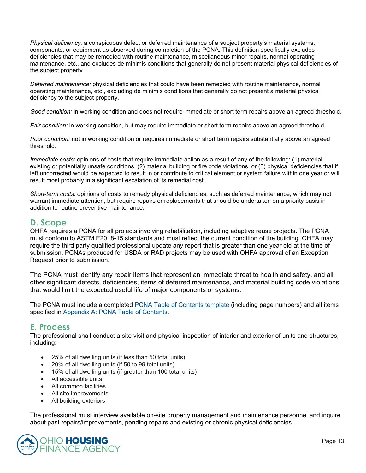*Physical deficiency:* a conspicuous defect or deferred maintenance of a subject property's material systems, components, or equipment as observed during completion of the PCNA. This definition specifically excludes deficiencies that may be remedied with routine maintenance, miscellaneous minor repairs, normal operating maintenance, etc., and excludes de minimis conditions that generally do not present material physical deficiencies of the subject property.

*Deferred maintenance:* physical deficiencies that could have been remedied with routine maintenance, normal operating maintenance, etc., excluding de minimis conditions that generally do not present a material physical deficiency to the subject property.

*Good condition:* in working condition and does not require immediate or short term repairs above an agreed threshold.

*Fair condition:* in working condition, but may require immediate or short term repairs above an agreed threshold.

*Poor condition:* not in working condition or requires immediate or short term repairs substantially above an agreed threshold.

*Immediate costs*: opinions of costs that require immediate action as a result of any of the following: (1) material existing or potentially unsafe conditions, (2) material building or fire code violations, or (3) physical deficiencies that if left uncorrected would be expected to result in or contribute to critical element or system failure within one year or will result most probably in a significant escalation of its remedial cost.

*Short-term costs*: opinions of costs to remedy physical deficiencies, such as deferred maintenance, which may not warrant immediate attention, but require repairs or replacements that should be undertaken on a priority basis in addition to routine preventive maintenance.

### **D. Scope**

OHFA requires a PCNA for all projects involving rehabilitation, including adaptive reuse projects. The PCNA must conform to ASTM E2018-15 standards and must reflect the current condition of the building. OHFA may require the third party qualified professional update any report that is greater than one year old at the time of submission. PCNAs produced for USDA or RAD projects may be used with OHFA approval of an Exception Request prior to submission.

The PCNA must identify any repair items that represent an immediate threat to health and safety, and all other significant defects, deficiencies, items of deferred maintenance, and material building code violations that would limit the expected useful life of major components or systems.

The PCNA must include a completed PCNA Table of Contents template (including page numbers) and all items specified in Appendix A: PCNA Table of Contents.

### **E. Process**

The professional shall conduct a site visit and physical inspection of interior and exterior of units and structures, including:

- 25% of all dwelling units (if less than 50 total units)
- 20% of all dwelling units (if 50 to 99 total units)
- 15% of all dwelling units (if greater than 100 total units)
- All accessible units
- All common facilities
- All site improvements
- All building exteriors

The professional must interview available on-site property management and maintenance personnel and inquire about past repairs/improvements, pending repairs and existing or chronic physical deficiencies.

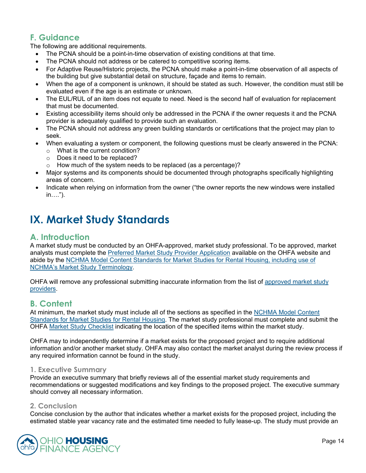# **F. Guidance**

The following are additional requirements.

- The PCNA should be a point-in-time observation of existing conditions at that time.
- The PCNA should not address or be catered to competitive scoring items.
- For Adaptive Reuse/Historic projects, the PCNA should make a point-in-time observation of all aspects of the building but give substantial detail on structure, façade and items to remain.
- When the age of a component is unknown, it should be stated as such. However, the condition must still be evaluated even if the age is an estimate or unknown.
- The EUL/RUL of an item does not equate to need. Need is the second half of evaluation for replacement that must be documented.
- Existing accessibility items should only be addressed in the PCNA if the owner requests it and the PCNA provider is adequately qualified to provide such an evaluation.
- The PCNA should not address any green building standards or certifications that the project may plan to seek.
- When evaluating a system or component, the following questions must be clearly answered in the PCNA:
	- o What is the current condition?
	- o Does it need to be replaced?
	- o How much of the system needs to be replaced (as a percentage)?
- Major systems and its components should be documented through photographs specifically highlighting areas of concern.
- Indicate when relying on information from the owner ("the owner reports the new windows were installed in….").

# **IX. Market Study Standards**

### **A. Introduction**

A market study must be conducted by an OHFA-approved, market study professional. To be approved, market analysts must complete the Preferred Market Study Provider Application available on the OHFA website and abide by the NCHMA Model Content Standards for Market Studies for Rental Housing, including use of NCHMA's Market Study Terminology.

OHFA will remove any professional submitting inaccurate information from the list of approved market study providers.

# **B. Content**

At minimum, the market study must include all of the sections as specified in the NCHMA Model Content Standards for Market Studies for Rental Housing. The market study professional must complete and submit the OHFA Market Study Checklist indicating the location of the specified items within the market study.

OHFA may to independently determine if a market exists for the proposed project and to require additional information and/or another market study. OHFA may also contact the market analyst during the review process if any required information cannot be found in the study.

#### **1. Executive Summary**

Provide an executive summary that briefly reviews all of the essential market study requirements and recommendations or suggested modifications and key findings to the proposed project. The executive summary should convey all necessary information.

#### **2. Conclusion**

Concise conclusion by the author that indicates whether a market exists for the proposed project, including the estimated stable year vacancy rate and the estimated time needed to fully lease-up. The study must provide an

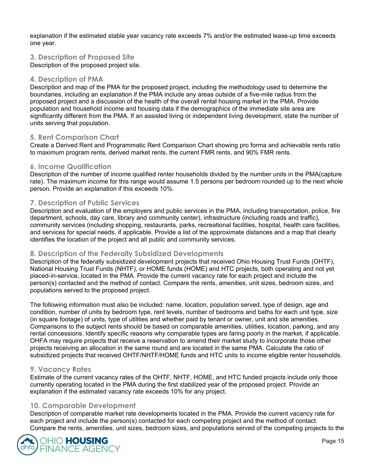explanation if the estimated stable year vacancy rate exceeds 7% and/or the estimated lease-up time exceeds one year.

#### **3. Description of Proposed Site**

Description of the proposed project site.

#### **4. Description of PMA**

Description and map of the PMA for the proposed project, including the methodology used to determine the boundaries, including an explanation if the PMA include any areas outside of a five-mile radius from the proposed project and a discussion of the health of the overall rental housing market in the PMA. Provide population and household income and housing data if the demographics of the immediate site area are significantly different from the PMA. If an assisted living or independent living development, state the number of units serving that population.

#### **5. Rent Comparison Chart**

Create a Derived Rent and Programmatic Rent Comparison Chart showing pro forma and achievable rents ratio to maximum program rents, derived market rents, the current FMR rents, and 90% FMR rents.

#### **6. Income Qualification**

Description of the number of income qualified renter households divided by the number units in the PMA(capture rate). The maximum income for this range would assume 1.5 persons per bedroom rounded up to the next whole person. Provide an explanation if this exceeds 10%.

#### **7. Description of Public Services**

Description and evaluation of the employers and public services in the PMA, including transportation, police, fire department, schools, day care, library and community center), infrastructure (including roads and traffic), community services (including shopping, restaurants, parks, recreational facilities, hospital, health care facilities, and services for special needs, if applicable. Provide a list of the approximate distances and a map that clearly identifies the location of the project and all public and community services.

#### **8. Description of the Federally Subsidized Developments**

Description of the federally subsidized development projects that received Ohio Housing Trust Funds (OHTF), National Housing Trust Funds (NHTF), or HOME funds (HOME) and HTC projects, both operating and not yet placed-in-service, located in the PMA. Provide the current vacancy rate for each project and include the person(s) contacted and the method of contact. Compare the rents, amenities, unit sizes, bedroom sizes, and populations served to the proposed project.

The following information must also be included: name, location, population served, type of design, age and condition, number of units by bedroom type, rent levels, number of bedrooms and baths for each unit type, size (in square footage) of units, type of utilities and whether paid by tenant or owner, unit and site amenities. Comparisons to the subject rents should be based on comparable amenities, utilities, location, parking, and any rental concessions. Identify specific reasons why comparable types are faring poorly in the market, if applicable. OHFA may require projects that receive a reservation to amend their market study to incorporate those other projects receiving an allocation in the same round and are located in the same PMA. Calculate the ratio of subsidized projects that received OHTF/NHTF/HOME funds and HTC units to income eligible renter households.

#### **9. Vacancy Rates**

Estimate of the current vacancy rates of the OHTF, NHTF, HOME, and HTC funded projects include only those currently operating located in the PMA during the first stabilized year of the proposed project. Provide an explanation if the estimated vacancy rate exceeds 10% for any project.

#### **10. Comparable Development**

Description of comparable market rate developments located in the PMA. Provide the current vacancy rate for each project and include the person(s) contacted for each competing project and the method of contact. Compare the rents, amenities, unit sizes, bedroom sizes, and populations served of the competing projects to the

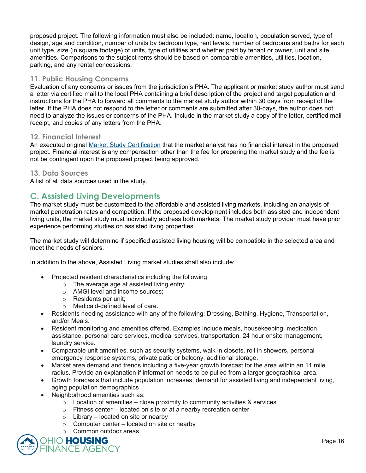proposed project. The following information must also be included: name, location, population served, type of design, age and condition, number of units by bedroom type, rent levels, number of bedrooms and baths for each unit type, size (in square footage) of units, type of utilities and whether paid by tenant or owner, unit and site amenities. Comparisons to the subject rents should be based on comparable amenities, utilities, location, parking, and any rental concessions.

#### **11. Public Housing Concerns**

Evaluation of any concerns or issues from the jurisdiction's PHA. The applicant or market study author must send a letter via certified mail to the local PHA containing a brief description of the project and target population and instructions for the PHA to forward all comments to the market study author within 30 days from receipt of the letter. If the PHA does not respond to the letter or comments are submitted after 30-days, the author does not need to analyze the issues or concerns of the PHA. Include in the market study a copy of the letter, certified mail receipt, and copies of any letters from the PHA.

#### **12. Financial Interest**

An executed original Market Study Certification that the market analyst has no financial interest in the proposed project. Financial interest is any compensation other than the fee for preparing the market study and the fee is not be contingent upon the proposed project being approved.

#### **13. Data Sources**

A list of all data sources used in the study.

# **C. Assisted Living Developments**

The market study must be customized to the affordable and assisted living markets, including an analysis of market penetration rates and competition. If the proposed development includes both assisted and independent living units, the market study must individually address both markets. The market study provider must have prior experience performing studies on assisted living properties.

The market study will determine if specified assisted living housing will be compatible in the selected area and meet the needs of seniors.

In addition to the above, Assisted Living market studies shall also include:

- Projected resident characteristics including the following
	- o The average age at assisted living entry;
	- o AMGI level and income sources;
	- o Residents per unit;
	- Medicaid-defined level of care.
- Residents needing assistance with any of the following: Dressing, Bathing, Hygiene, Transportation, and/or Meals.
- Resident monitoring and amenities offered. Examples include meals, housekeeping, medication assistance, personal care services, medical services, transportation, 24 hour onsite management, laundry service.
- Comparable unit amenities, such as security systems, walk in closets, roll in showers, personal emergency response systems, private patio or balcony, additional storage.
- Market area demand and trends including a five-year growth forecast for the area within an 11 mile radius. Provide an explanation if information needs to be pulled from a larger geographical area.
- Growth forecasts that include population increases, demand for assisted living and independent living, aging population demographics
- Neighborhood amenities such as:
	- $\circ$  Location of amenities close proximity to community activities & services
	- $\circ$  Fitness center located on site or at a nearby recreation center
	- $\circ$  Library located on site or nearby
	- $\circ$  Computer center located on site or nearby
	- o Common outdoor areas

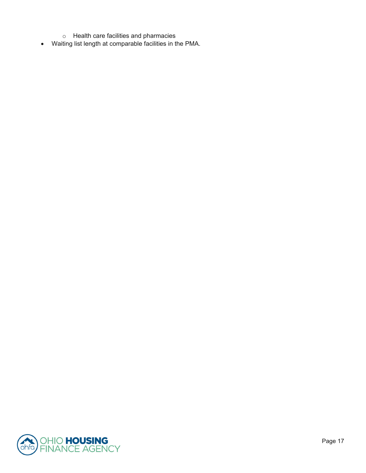- o Health care facilities and pharmacies
- Waiting list length at comparable facilities in the PMA.

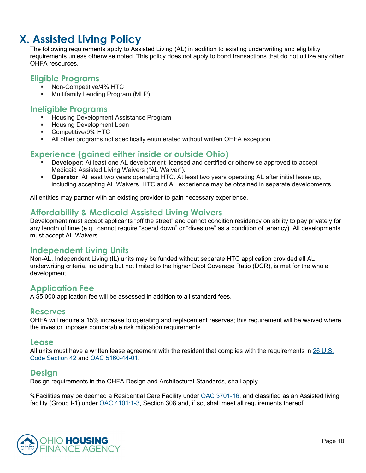# **X. Assisted Living Policy**

The following requirements apply to Assisted Living (AL) in addition to existing underwriting and eligibility requirements unless otherwise noted. This policy does not apply to bond transactions that do not utilize any other OHFA resources.

#### **Eligible Programs**

- **Non-Competitive/4% HTC**
- Multifamily Lending Program (MLP)

### **Ineligible Programs**

- **Housing Development Assistance Program**
- **Housing Development Loan**
- Competitive/9% HTC
- All other programs not specifically enumerated without written OHFA exception

# **Experience (gained either inside or outside Ohio)**

- **Developer**: At least one AL development licensed and certified or otherwise approved to accept Medicaid Assisted Living Waivers ("AL Waiver").
- **Operator**: At least two years operating HTC. At least two years operating AL after initial lease up, including accepting AL Waivers. HTC and AL experience may be obtained in separate developments.

All entities may partner with an existing provider to gain necessary experience.

# **Affordability & Medicaid Assisted Living Waivers**

Development must accept applicants "off the street" and cannot condition residency on ability to pay privately for any length of time (e.g., cannot require "spend down" or "divesture" as a condition of tenancy). All developments must accept AL Waivers.

# **Independent Living Units**

Non-AL, Independent Living (IL) units may be funded without separate HTC application provided all AL underwriting criteria, including but not limited to the higher Debt Coverage Ratio (DCR), is met for the whole development.

# **Application Fee**

A \$5,000 application fee will be assessed in addition to all standard fees.

### **Reserves**

OHFA will require a 15% increase to operating and replacement reserves; this requirement will be waived where the investor imposes comparable risk mitigation requirements.

### **Lease**

All units must have a written lease agreement with the resident that complies with the requirements in 26 U.S. Code Section 42 and OAC 5160-44-01.

# **Design**

Design requirements in the OHFA Design and Architectural Standards, shall apply.

%Facilities may be deemed a Residential Care Facility under OAC 3701-16, and classified as an Assisted living facility (Group I-1) under OAC 4101:1-3, Section 308 and, if so, shall meet all requirements thereof.

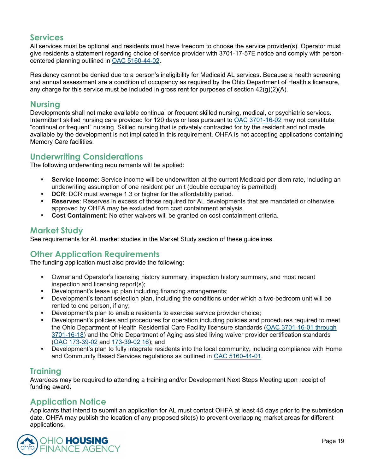# **Services**

All services must be optional and residents must have freedom to choose the service provider(s). Operator must give residents a statement regarding choice of service provider with 3701-17-57E notice and comply with personcentered planning outlined in OAC 5160-44-02.

Residency cannot be denied due to a person's ineligibility for Medicaid AL services. Because a health screening and annual assessment are a condition of occupancy as required by the Ohio Department of Health's licensure, any charge for this service must be included in gross rent for purposes of section  $42(q)(2)(A)$ .

### **Nursing**

Developments shall not make available continual or frequent skilled nursing, medical, or psychiatric services. Intermittent skilled nursing care provided for 120 days or less pursuant to OAC 3701-16-02 may not constitute "continual or frequent" nursing. Skilled nursing that is privately contracted for by the resident and not made available by the development is not implicated in this requirement. OHFA is not accepting applications containing Memory Care facilities.

# **Underwriting Considerations**

The following underwriting requirements will be applied:

- **Service Income**: Service income will be underwritten at the current Medicaid per diem rate, including an underwriting assumption of one resident per unit (double occupancy is permitted).
- **DCR:** DCR must average 1.3 or higher for the affordability period.
- **Reserves**: Reserves in excess of those required for AL developments that are mandated or otherwise approved by OHFA may be excluded from cost containment analysis.
- **Cost Containment**: No other waivers will be granted on cost containment criteria.

# **Market Study**

See requirements for AL market studies in the Market Study section of these guidelines.

# **Other Application Requirements**

The funding application must also provide the following:

- Owner and Operator's licensing history summary, inspection history summary, and most recent inspection and licensing report(s);
- Development's lease up plan including financing arrangements;
- Development's tenant selection plan, including the conditions under which a two-bedroom unit will be rented to one person, if any;
- **Development's plan to enable residents to exercise service provider choice;**
- Development's policies and procedures for operation including policies and procedures required to meet the Ohio Department of Health Residential Care Facility licensure standards (OAC 3701-16-01 through 3701-16-18) and the Ohio Department of Aging assisted living waiver provider certification standards (OAC 173-39-02 and 173-39-02.16); and
- Development's plan to fully integrate residents into the local community, including compliance with Home and Community Based Services regulations as outlined in OAC 5160-44-01.

# **Training**

Awardees may be required to attending a training and/or Development Next Steps Meeting upon receipt of funding award.

# **Application Notice**

Applicants that intend to submit an application for AL must contact OHFA at least 45 days prior to the submission date. OHFA may publish the location of any proposed site(s) to prevent overlapping market areas for different applications.

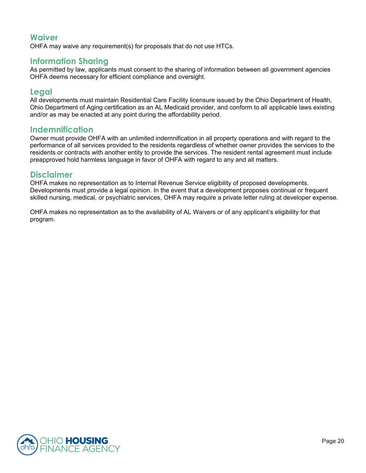# **Waiver**

OHFA may waive any requirement(s) for proposals that do not use HTCs.

### **Information Sharing**

As permitted by law, applicants must consent to the sharing of information between all government agencies OHFA deems necessary for efficient compliance and oversight.

### **Legal**

All developments must maintain Residential Care Facility licensure issued by the Ohio Department of Health, Ohio Department of Aging certification as an AL Medicaid provider, and conform to all applicable laws existing and/or as may be enacted at any point during the affordability period.

### **Indemnification**

Owner must provide OHFA with an unlimited indemnification in all property operations and with regard to the performance of all services provided to the residents regardless of whether owner provides the services to the residents or contracts with another entity to provide the services. The resident rental agreement must include preapproved hold harmless language in favor of OHFA with regard to any and all matters.

### **Disclaimer**

OHFA makes no representation as to Internal Revenue Service eligibility of proposed developments. Developments must provide a legal opinion. In the event that a development proposes continual or frequent skilled nursing, medical, or psychiatric services, OHFA may require a private letter ruling at developer expense.

OHFA makes no representation as to the availability of AL Waivers or of any applicant's eligibility for that program.

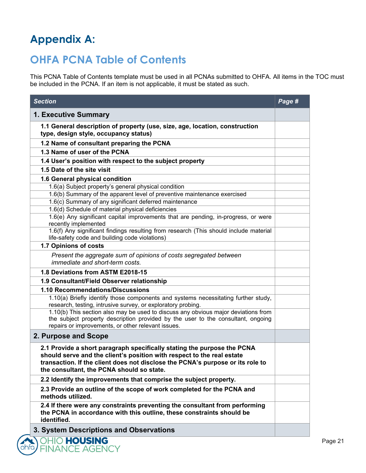# **Appendix A:**

# **OHFA PCNA Table of Contents**

This PCNA Table of Contents template must be used in all PCNAs submitted to OHFA. All items in the TOC must be included in the PCNA. If an item is not applicable, it must be stated as such.

| <b>Section</b>                                                                                                                                                                                                                                                                   | Page # |
|----------------------------------------------------------------------------------------------------------------------------------------------------------------------------------------------------------------------------------------------------------------------------------|--------|
| 1. Executive Summary                                                                                                                                                                                                                                                             |        |
| 1.1 General description of property (use, size, age, location, construction<br>type, design style, occupancy status)                                                                                                                                                             |        |
| 1.2 Name of consultant preparing the PCNA                                                                                                                                                                                                                                        |        |
| 1.3 Name of user of the PCNA                                                                                                                                                                                                                                                     |        |
| 1.4 User's position with respect to the subject property                                                                                                                                                                                                                         |        |
| 1.5 Date of the site visit                                                                                                                                                                                                                                                       |        |
| 1.6 General physical condition                                                                                                                                                                                                                                                   |        |
| 1.6(a) Subject property's general physical condition                                                                                                                                                                                                                             |        |
| 1.6(b) Summary of the apparent level of preventive maintenance exercised                                                                                                                                                                                                         |        |
| 1.6(c) Summary of any significant deferred maintenance                                                                                                                                                                                                                           |        |
| 1.6(d) Schedule of material physical deficiencies                                                                                                                                                                                                                                |        |
| 1.6(e) Any significant capital improvements that are pending, in-progress, or were<br>recently implemented                                                                                                                                                                       |        |
| 1.6(f) Any significant findings resulting from research (This should include material<br>life-safety code and building code violations)                                                                                                                                          |        |
| 1.7 Opinions of costs                                                                                                                                                                                                                                                            |        |
| Present the aggregate sum of opinions of costs segregated between<br>immediate and short-term costs.                                                                                                                                                                             |        |
| 1.8 Deviations from ASTM E2018-15                                                                                                                                                                                                                                                |        |
| 1.9 Consultant/Field Observer relationship                                                                                                                                                                                                                                       |        |
| 1.10 Recommendations/Discussions                                                                                                                                                                                                                                                 |        |
| 1.10(a) Briefly identify those components and systems necessitating further study,<br>research, testing, intrusive survey, or exploratory probing.                                                                                                                               |        |
| 1.10(b) This section also may be used to discuss any obvious major deviations from<br>the subject property description provided by the user to the consultant, ongoing<br>repairs or improvements, or other relevant issues.                                                     |        |
| 2. Purpose and Scope                                                                                                                                                                                                                                                             |        |
| 2.1 Provide a short paragraph specifically stating the purpose the PCNA<br>should serve and the client's position with respect to the real estate<br>transaction. If the client does not disclose the PCNA's purpose or its role to<br>the consultant, the PCNA should so state. |        |
| 2.2 Identify the improvements that comprise the subject property.                                                                                                                                                                                                                |        |
| 2.3 Provide an outline of the scope of work completed for the PCNA and<br>methods utilized.                                                                                                                                                                                      |        |
| 2.4 If there were any constraints preventing the consultant from performing<br>the PCNA in accordance with this outline, these constraints should be<br>identified.                                                                                                              |        |
| 3. System Descriptions and Observations                                                                                                                                                                                                                                          |        |
| <b>OHIO HOUSING</b><br><b>FINANCE AGENCY</b>                                                                                                                                                                                                                                     |        |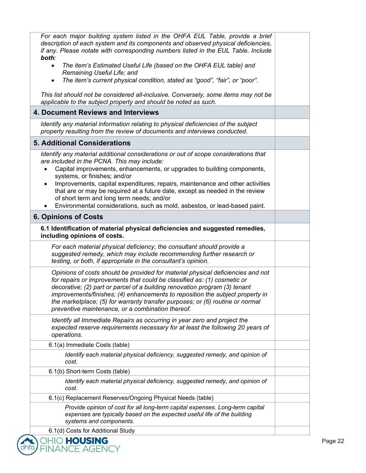| For each major building system listed in the OHFA EUL Table, provide a brief<br>description of each system and its components and observed physical deficiencies,<br>if any. Please notate with corresponding numbers listed in the EUL Table. Include<br>both:<br>The item's Estimated Useful Life (based on the OHFA EUL table) and<br>$\bullet$<br>Remaining Useful Life; and<br>The item's current physical condition, stated as "good", "fair", or "poor".<br>$\bullet$<br>This list should not be considered all-inclusive. Conversely, some items may not be |  |
|---------------------------------------------------------------------------------------------------------------------------------------------------------------------------------------------------------------------------------------------------------------------------------------------------------------------------------------------------------------------------------------------------------------------------------------------------------------------------------------------------------------------------------------------------------------------|--|
| applicable to the subject property and should be noted as such.<br>4. Document Reviews and Interviews                                                                                                                                                                                                                                                                                                                                                                                                                                                               |  |
| Identify any material information relating to physical deficiencies of the subject<br>property resulting from the review of documents and interviews conducted.                                                                                                                                                                                                                                                                                                                                                                                                     |  |
| <b>5. Additional Considerations</b>                                                                                                                                                                                                                                                                                                                                                                                                                                                                                                                                 |  |
| Identify any material additional considerations or out of scope considerations that<br>are included in the PCNA. This may include:<br>Capital improvements, enhancements, or upgrades to building components,<br>$\bullet$<br>systems, or finishes; and/or<br>Improvements, capital expenditures, repairs, maintenance and other activities<br>$\bullet$<br>that are or may be required at a future date, except as needed in the review<br>of short term and long term needs; and/or<br>Environmental considerations, such as mold, asbestos, or lead-based paint. |  |
| <b>6. Opinions of Costs</b>                                                                                                                                                                                                                                                                                                                                                                                                                                                                                                                                         |  |
| 6.1 Identification of material physical deficiencies and suggested remedies,<br>including opinions of costs.                                                                                                                                                                                                                                                                                                                                                                                                                                                        |  |
| For each material physical deficiency, the consultant should provide a<br>suggested remedy, which may include recommending further research or<br>testing, or both, if appropriate in the consultant's opinion.                                                                                                                                                                                                                                                                                                                                                     |  |
| Opinions of costs should be provided for material physical deficiencies and not<br>for repairs or improvements that could be classified as: (1) cosmetic or<br>decorative; (2) part or parcel of a building renovation program (3) tenant<br>improvements/finishes; (4) enhancements to reposition the subject property in<br>the marketplace; (5) for warranty transfer purposes; or (6) routine or normal<br>preventive maintenance, or a combination thereof.                                                                                                    |  |
| Identify all Immediate Repairs as occurring in year zero and project the<br>expected reserve requirements necessary for at least the following 20 years of<br>operations.                                                                                                                                                                                                                                                                                                                                                                                           |  |
| 6.1(a) Immediate Costs (table)                                                                                                                                                                                                                                                                                                                                                                                                                                                                                                                                      |  |
| Identify each material physical deficiency, suggested remedy, and opinion of<br>cost.                                                                                                                                                                                                                                                                                                                                                                                                                                                                               |  |
| 6.1(b) Short-term Costs (table)                                                                                                                                                                                                                                                                                                                                                                                                                                                                                                                                     |  |
| Identify each material physical deficiency, suggested remedy, and opinion of<br>cost.                                                                                                                                                                                                                                                                                                                                                                                                                                                                               |  |
| 6.1(c) Replacement Reserves/Ongoing Physical Needs (table)                                                                                                                                                                                                                                                                                                                                                                                                                                                                                                          |  |
| Provide opinion of cost for all long-term capital expenses. Long-term capital<br>expenses are typically based on the expected useful life of the building<br>systems and components.                                                                                                                                                                                                                                                                                                                                                                                |  |
| 6.1(d) Costs for Additional Study                                                                                                                                                                                                                                                                                                                                                                                                                                                                                                                                   |  |

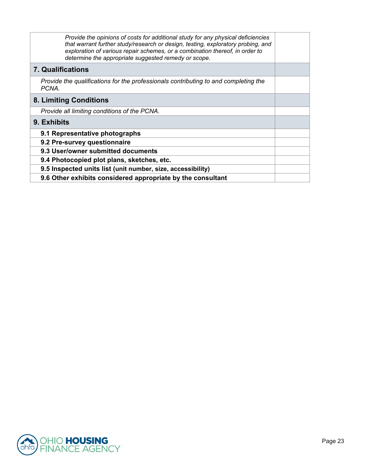| Provide the opinions of costs for additional study for any physical deficiencies<br>that warrant further study/research or design, testing, exploratory probing, and<br>exploration of various repair schemes, or a combination thereof, in order to<br>determine the appropriate suggested remedy or scope. |  |
|--------------------------------------------------------------------------------------------------------------------------------------------------------------------------------------------------------------------------------------------------------------------------------------------------------------|--|
| <b>7. Qualifications</b>                                                                                                                                                                                                                                                                                     |  |
| Provide the qualifications for the professionals contributing to and completing the<br>PCNA.                                                                                                                                                                                                                 |  |
| 8. Limiting Conditions                                                                                                                                                                                                                                                                                       |  |
| Provide all limiting conditions of the PCNA.                                                                                                                                                                                                                                                                 |  |
| 9. Exhibits                                                                                                                                                                                                                                                                                                  |  |
| 9.1 Representative photographs                                                                                                                                                                                                                                                                               |  |
| 9.2 Pre-survey questionnaire                                                                                                                                                                                                                                                                                 |  |
| 9.3 User/owner submitted documents                                                                                                                                                                                                                                                                           |  |
| 9.4 Photocopied plot plans, sketches, etc.                                                                                                                                                                                                                                                                   |  |
| 9.5 Inspected units list (unit number, size, accessibility)                                                                                                                                                                                                                                                  |  |
| 9.6 Other exhibits considered appropriate by the consultant                                                                                                                                                                                                                                                  |  |

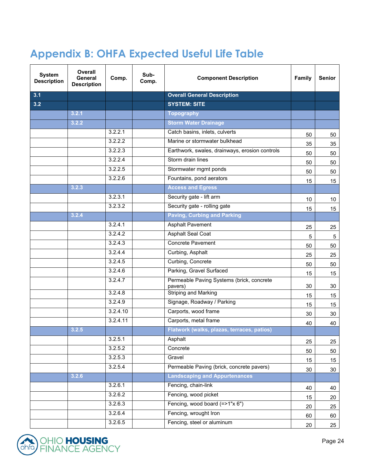# **Appendix B: OHFA Expected Useful Life Table**

| <b>System</b><br><b>Description</b> | Overall<br>General<br><b>Description</b> | Comp.    | Sub-<br>Comp. | <b>Component Description</b>                         | <b>Family</b> | <b>Senior</b> |
|-------------------------------------|------------------------------------------|----------|---------------|------------------------------------------------------|---------------|---------------|
| 3.1                                 |                                          |          |               | <b>Overall General Description</b>                   |               |               |
| 3.2                                 |                                          |          |               | <b>SYSTEM: SITE</b>                                  |               |               |
|                                     | 3.2.1                                    |          |               | <b>Topography</b>                                    |               |               |
|                                     | 3.2.2                                    |          |               | <b>Storm Water Drainage</b>                          |               |               |
|                                     |                                          | 3.2.2.1  |               | Catch basins, inlets, culverts                       | 50            | 50            |
|                                     |                                          | 3.2.2.2  |               | Marine or stormwater bulkhead                        | 35            | 35            |
|                                     |                                          | 3.2.2.3  |               | Earthwork, swales, drainways, erosion controls       | 50            | 50            |
|                                     |                                          | 3.2.2.4  |               | Storm drain lines                                    | 50            | 50            |
|                                     |                                          | 3.2.2.5  |               | Stormwater mgmt ponds                                | 50            | 50            |
|                                     |                                          | 3.2.2.6  |               | Fountains, pond aerators                             | 15            | 15            |
|                                     | 3.2.3                                    |          |               | <b>Access and Egress</b>                             |               |               |
|                                     |                                          | 3.2.3.1  |               | Security gate - lift arm                             | 10            | 10            |
|                                     |                                          | 3.2.3.2  |               | Security gate - rolling gate                         | 15            | 15            |
|                                     | 3.2.4                                    |          |               | <b>Paving, Curbing and Parking</b>                   |               |               |
|                                     |                                          | 3.2.4.1  |               | <b>Asphalt Pavement</b>                              | 25            | 25            |
|                                     |                                          | 3.2.4.2  |               | <b>Asphalt Seal Coat</b>                             | 5             | $\sqrt{5}$    |
|                                     |                                          | 3.2.4.3  |               | <b>Concrete Pavement</b>                             | 50            | 50            |
|                                     |                                          | 3.2.4.4  |               | Curbing, Asphalt                                     | 25            | 25            |
|                                     |                                          | 3.2.4.5  |               | Curbing, Concrete                                    | 50            | 50            |
|                                     |                                          | 3.2.4.6  |               | Parking, Gravel Surfaced                             | 15            | 15            |
|                                     |                                          | 3.2.4.7  |               | Permeable Paving Systems (brick, concrete<br>pavers) | 30            | 30            |
|                                     |                                          | 3.2.4.8  |               | Striping and Marking                                 | 15            | 15            |
|                                     |                                          | 3.2.4.9  |               | Signage, Roadway / Parking                           | 15            | 15            |
|                                     |                                          | 3.2.4.10 |               | Carports, wood frame                                 | 30            | 30            |
|                                     |                                          | 3.2.4.11 |               | Carports, metal frame                                | 40            | 40            |
|                                     | 3.2.5                                    |          |               | Flatwork (walks, plazas, terraces, patios)           |               |               |
|                                     |                                          | 3.2.5.1  |               | Asphalt                                              | 25            | 25            |
|                                     |                                          | 3.2.5.2  |               | Concrete                                             | 50            | 50            |
|                                     |                                          | 3.2.5.3  |               | Gravel                                               | 15            | 15            |
|                                     |                                          | 3.2.5.4  |               | Permeable Paving (brick, concrete pavers)            | 30            | 30            |
|                                     | 3.2.6                                    |          |               | <b>Landscaping and Appurtenances</b>                 |               |               |
|                                     |                                          | 3.2.6.1  |               | Fencing, chain-link                                  | 40            | 40            |
|                                     |                                          | 3.2.6.2  |               | Fencing, wood picket                                 | 15            | 20            |
|                                     |                                          | 3.2.6.3  |               | Fencing, wood board (=>1"x 6")                       | 20            | 25            |
|                                     |                                          | 3.2.6.4  |               | Fencing, wrought Iron                                | 60            | 60            |
|                                     |                                          | 3.2.6.5  |               | Fencing, steel or aluminum                           | 20            | 25            |

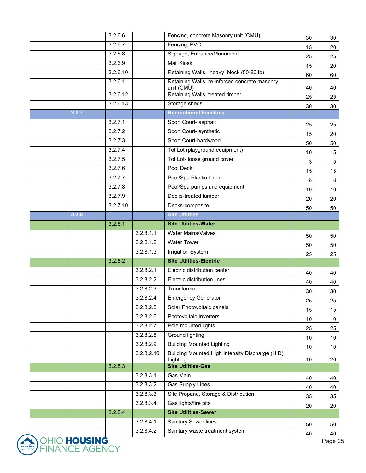|                                  | 3.2.6.6  |            | Fencing, concrete Masonry unit (CMU)                        | 30 | 30              |
|----------------------------------|----------|------------|-------------------------------------------------------------|----|-----------------|
|                                  | 3.2.6.7  |            | Fencing, PVC                                                | 15 | 20              |
|                                  | 3.2.6.8  |            | Signage, Entrance/Monument                                  | 25 | 25              |
|                                  | 3.2.6.9  |            | <b>Mail Kiosk</b>                                           | 15 | 20              |
|                                  | 3.2.6.10 |            | Retaining Walls, heavy block (50-80 lb)                     | 60 | 60              |
|                                  | 3.2.6.11 |            | Retaining Walls, re-inforced concrete masonry<br>unit (CMU) | 40 | 40              |
|                                  | 3.2.6.12 |            | Retaining Walls, treated timber                             | 25 | 25              |
|                                  | 3.2.6.13 |            | Storage sheds                                               | 30 | 30              |
| 3.2.7                            |          |            | <b>Recreational Facilities</b>                              |    |                 |
|                                  | 3.2.7.1  |            | Sport Court- asphalt                                        | 25 | 25              |
|                                  | 3.2.7.2  |            | Sport Court- synthetic                                      | 15 | 20              |
|                                  | 3.2.7.3  |            | Sport Court-hardwood                                        | 50 | 50              |
|                                  | 3.2.7.4  |            | Tot Lot (playground equipment)                              | 10 | 15              |
|                                  | 3.2.7.5  |            | Tot Lot- loose ground cover                                 | 3  | $\sqrt{5}$      |
|                                  | 3.2.7.6  |            | Pool Deck                                                   | 15 | 15              |
|                                  | 3.2.7.7  |            | Pool/Spa Plastic Liner                                      | 8  | 8               |
|                                  | 3.2.7.8  |            | Pool/Spa pumps and equipment                                | 10 | 10              |
|                                  | 3.2.7.9  |            | Decks-treated lumber                                        | 20 | 20              |
|                                  | 3.2.7.10 |            | Decks-composite                                             | 50 | 50              |
| 3.2.8                            |          |            | <b>Site Utilities</b>                                       |    |                 |
|                                  | 3.2.8.1  |            | <b>Site Utilities-Water</b>                                 |    |                 |
|                                  |          | 3.2.8.1.1  | <b>Water Mains/Valves</b>                                   | 50 | 50              |
|                                  |          | 3.2.8.1.2  | <b>Water Tower</b>                                          | 50 | 50              |
|                                  |          | 3.2.8.1.3  | <b>Irrigation System</b>                                    | 25 | 25              |
|                                  | 3.2.8.2  |            | <b>Site Utilities-Electric</b>                              |    |                 |
|                                  |          | 3.2.8.2.1  | Electric distribution center                                | 40 | 40              |
|                                  |          | 3.2.8.2.2  | Electric distribution lines                                 | 40 | 40              |
|                                  |          | 3.2.8.2.3  | Transformer                                                 | 30 | 30              |
|                                  |          | 3.2.8.2.4  | <b>Emergency Generator</b>                                  | 25 | 25              |
|                                  |          | 3.2.8.2.5  | Solar Photovoltaic panels                                   | 15 | 15              |
|                                  |          | 3.2.8.2.6  | Photovoltaic Inverters                                      | 10 | 10              |
|                                  |          | 3.2.8.2.7  | Pole mounted lights                                         | 25 | 25              |
|                                  |          | 3.2.8.2.8  | <b>Ground lighting</b>                                      | 10 | $10$            |
|                                  |          | 3.2.8.2.9  | <b>Building Mounted Lighting</b>                            | 10 | 10 <sup>°</sup> |
|                                  |          | 3.2.8.2.10 | Building Mounted High Intensity Discharge (HID)<br>Lighting | 10 | 20              |
|                                  | 3.2.8.3  |            | <b>Site Utilities-Gas</b>                                   |    |                 |
|                                  |          | 3.2.8.3.1  | <b>Gas Main</b>                                             | 40 | 40              |
|                                  |          | 3.2.8.3.2  | <b>Gas Supply Lines</b>                                     | 40 | 40              |
|                                  |          | 3.2.8.3.3  | Site Propane, Storage & Distribution                        | 35 | 35              |
|                                  |          | 3.2.8.3.4  | Gas lights/fire pits                                        | 20 | 20              |
|                                  | 3.2.8.4  |            | <b>Site Utilities-Sewer</b>                                 |    |                 |
|                                  |          | 3.2.8.4.1  | <b>Sanitary Sewer lines</b>                                 | 50 | 50              |
|                                  |          | 3.2.8.4.2  | Sanitary waste treatment system                             | 40 | 40              |
| $\mathbf{A}$ is the $\mathbf{A}$ |          |            |                                                             |    |                 |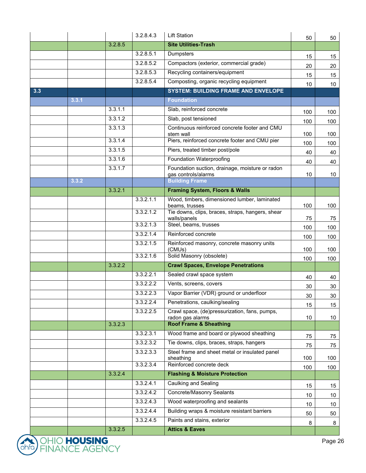|     |       |         | 3.3.2.4.5 | Paints and stains, exterior                                            | 8   | 8               |
|-----|-------|---------|-----------|------------------------------------------------------------------------|-----|-----------------|
|     |       |         | 3.3.2.4.4 | Building wraps & moisture resistant barriers                           | 50  | 50              |
|     |       |         | 3.3.2.4.3 | Wood waterproofing and sealants                                        | 10  | 10              |
|     |       |         | 3.3.2.4.2 | <b>Concrete/Masonry Sealants</b>                                       | 10  | 10 <sup>1</sup> |
|     |       |         | 3.3.2.4.1 | Caulking and Sealing                                                   | 15  | 15              |
|     |       | 3.3.2.4 |           | <b>Flashing &amp; Moisture Protection</b>                              |     |                 |
|     |       |         | 3.3.2.3.4 | Reinforced concrete deck                                               | 100 | 100             |
|     |       |         | 3.3.2.3.3 | Steel frame and sheet metal or insulated panel<br>sheathing            | 100 | 100             |
|     |       |         | 3.3.2.3.2 | Tie downs, clips, braces, straps, hangers                              | 75  | 75              |
|     |       |         | 3.3.2.3.1 | Wood frame and board or plywood sheathing                              | 75  | 75              |
|     |       | 3.3.2.3 |           | <b>Roof Frame &amp; Sheathing</b>                                      |     |                 |
|     |       |         | 3.3.2.2.5 | Crawl space, (de)pressurization, fans, pumps,<br>radon gas alarms      | 10  | 10              |
|     |       |         | 3.3.2.2.4 | Penetrations, caulking/sealing                                         | 15  | 15              |
|     |       |         | 3.3.2.2.3 | Vapor Barrier (VDR) ground or underfloor                               | 30  | 30              |
|     |       |         | 3.3.2.2.2 | Vents, screens, covers                                                 | 30  | 30              |
|     |       |         | 3.3.2.2.1 | Sealed crawl space system                                              | 40  | 40              |
|     |       | 3.3.2.2 |           | <b>Crawl Spaces, Envelope Penetrations</b>                             |     |                 |
|     |       |         | 3.3.2.1.6 | Solid Masonry (obsolete)                                               | 100 | 100             |
|     |       |         | 3.3.2.1.5 | Reinforced masonry, concrete masonry units<br>(CMUs)                   | 100 | 100             |
|     |       |         | 3.3.2.1.4 | Reinforced concrete                                                    | 100 | 100             |
|     |       |         | 3.3.2.1.3 | Steel, beams, trusses                                                  | 100 | 100             |
|     |       |         | 3.3.2.1.2 | Tie downs, clips, braces, straps, hangers, shear<br>walls/panels       | 75  | 75              |
|     |       |         | 3.3.2.1.1 | Wood, timbers, dimensioned lumber, laminated<br>beams, trusses         | 100 | 100             |
|     |       | 3.3.2.1 |           | <b>Framing System, Floors &amp; Walls</b>                              |     |                 |
|     | 3.3.2 |         |           | <b>Building Frame</b>                                                  |     |                 |
|     |       | 3.3.1.7 |           | Foundation suction, drainage, moisture or radon<br>gas controls/alarms | 10  | 10              |
|     |       | 3.3.1.6 |           | Foundation Waterproofing                                               | 40  | 40              |
|     |       | 3.3.1.5 |           | Piers, treated timber post/pole                                        | 40  | 40              |
|     |       | 3.3.1.4 |           | Piers, reinforced concrete footer and CMU pier                         | 100 | 100             |
|     |       | 3.3.1.3 |           | Continuous reinforced concrete footer and CMU<br>stem wall             | 100 | 100             |
|     |       | 3.3.1.2 |           | Slab, post tensioned                                                   | 100 | 100             |
|     |       | 3.3.1.1 |           | Slab, reinforced concrete                                              | 100 | 100             |
|     | 3.3.1 |         |           | <b>Foundation</b>                                                      |     |                 |
| 3.3 |       |         |           | <b>SYSTEM: BUILDING FRAME AND ENVELOPE</b>                             |     |                 |
|     |       |         | 3.2.8.5.4 | Composting, organic recycling equipment                                | 10  | 10              |
|     |       |         | 3.2.8.5.3 | Recycling containers/equipment                                         | 15  | 15              |
|     |       |         | 3.2.8.5.2 | Compactors (exterior, commercial grade)                                | 20  | 20              |
|     |       |         | 3.2.8.5.1 | Dumpsters                                                              | 15  | 15              |
|     |       | 3.2.8.5 |           | <b>Site Utilities-Trash</b>                                            |     |                 |
|     |       |         | 3.2.8.4.3 | <b>Lift Station</b>                                                    | 50  | 50              |

 $ohf\overline{a}$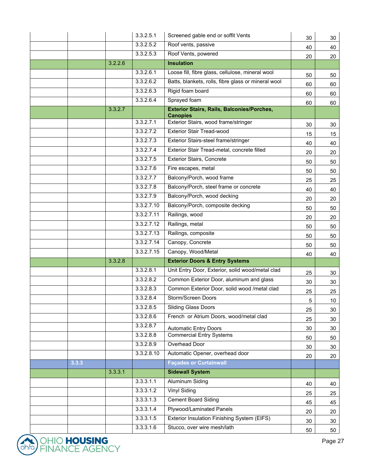|       |         | 3.3.2.5.1              | Screened gable end or soffit Vents                                         | 30 | 30              |
|-------|---------|------------------------|----------------------------------------------------------------------------|----|-----------------|
|       |         | 3.3.2.5.2              | Roof vents, passive                                                        | 40 | 40              |
|       |         | 3.3.2.5.3              | Roof Vents, powered                                                        | 20 | 20              |
|       | 3.2.2.6 |                        | <b>Insulation</b>                                                          |    |                 |
|       |         | 3.3.2.6.1              | Loose fill, fibre glass, cellulose, mineral wool                           | 50 | 50              |
|       |         | 3.3.2.6.2              | Batts, blankets, rolls, fibre glass or mineral wool                        | 60 | 60              |
|       |         | 3.3.2.6.3              | Rigid foam board                                                           | 60 | 60              |
|       |         | 3.3.2.6.4              | Sprayed foam                                                               | 60 | 60              |
|       | 3.3.2.7 |                        | <b>Exterior Stairs, Rails, Balconies/Porches,</b><br><b>Canopies</b>       |    |                 |
|       |         | 3.3.2.7.1              | Exterior Stairs, wood frame/stringer                                       | 30 | 30              |
|       |         | 3.3.2.7.2              | <b>Exterior Stair Tread-wood</b>                                           | 15 | 15              |
|       |         | 3.3.2.7.3              | Exterior Stairs-steel frame/stringer                                       | 40 | 40              |
|       |         | 3.3.2.7.4              | Exterior Stair Tread-metal, concrete filled                                | 20 | 20              |
|       |         | 3.3.2.7.5              | <b>Exterior Stairs, Concrete</b>                                           | 50 | 50              |
|       |         | 3.3.2.7.6              | Fire escapes, metal                                                        | 50 | 50              |
|       |         | 3.3.2.7.7              | Balcony/Porch, wood frame                                                  | 25 | 25              |
|       |         | 3.3.2.7.8              | Balcony/Porch, steel frame or concrete                                     | 40 | 40              |
|       |         | 3.3.2.7.9              | Balcony/Porch, wood decking                                                | 20 | 20              |
|       |         | 3.3.2.7.10             | Balcony/Porch, composite decking                                           | 50 | 50              |
|       |         | 3.3.2.7.11             | Railings, wood                                                             | 20 | 20              |
|       |         | 3.3.2.7.12             | Railings, metal                                                            | 50 | 50              |
|       |         | 3.3.2.7.13             | Railings, composite                                                        | 50 | 50              |
|       |         | 3.3.2.7.14             | Canopy, Concrete                                                           | 50 | 50              |
|       |         | 3.3.2.7.15             | Canopy, Wood/Metal                                                         | 40 | 40              |
|       | 3.3.2.8 |                        | <b>Exterior Doors &amp; Entry Systems</b>                                  |    |                 |
|       |         | 3.3.2.8.1              | Unit Entry Door, Exterior, solid wood/metal clad                           | 25 | 30              |
|       |         | 3.3.2.8.2              | Common Exterior Door, aluminum and glass                                   | 30 | 30              |
|       |         | 3.3.2.8.3              | Common Exterior Door, solid wood /metal clad                               | 25 | 25              |
|       |         | 3.3.2.8.4              | Storm/Screen Doors                                                         | 5  | 10 <sup>°</sup> |
|       |         | 3.3.2.8.5              | <b>Sliding Glass Doors</b>                                                 |    | 30              |
|       |         |                        |                                                                            | 25 |                 |
|       |         | 3.3.2.8.6              | French or Atrium Doors, wood/metal clad                                    | 25 | 30              |
|       |         | 3.3.2.8.7              | <b>Automatic Entry Doors</b>                                               | 30 | 30              |
|       |         | 3.3.2.8.8              | <b>Commercial Entry Systems</b>                                            | 50 | 50              |
|       |         | 3.3.2.8.9              | <b>Overhead Door</b>                                                       | 30 | 30              |
|       |         | 3.3.2.8.10             | Automatic Opener, overhead door                                            | 20 | 20              |
| 3.3.3 |         |                        | <b>Façades or Curtainwall</b>                                              |    |                 |
|       | 3.3.3.1 |                        | <b>Sidewall System</b>                                                     |    |                 |
|       |         | 3.3.3.1.1              | <b>Aluminum Siding</b>                                                     | 40 | 40              |
|       |         | 3.3.3.1.2              | <b>Vinyl Siding</b>                                                        | 25 | 25              |
|       |         | 3.3.3.1.3              | <b>Cement Board Siding</b>                                                 | 45 | 45              |
|       |         | 3.3.3.1.4              | Plywood/Laminated Panels                                                   | 20 | 20              |
|       |         | 3.3.3.1.5<br>3.3.3.1.6 | Exterior Insulation Finishing System (EIFS)<br>Stucco, over wire mesh/lath | 30 | 30              |

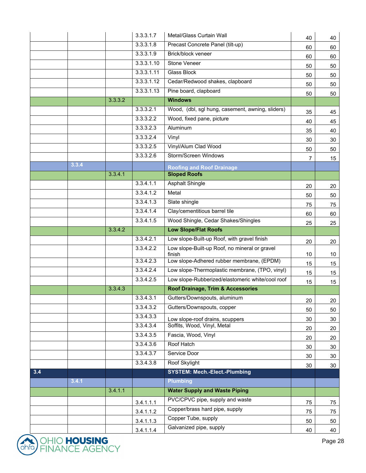|     |       |         | 3.3.3.1.7  | Metal/Glass Curtain Wall                                | 40 | 40 |
|-----|-------|---------|------------|---------------------------------------------------------|----|----|
|     |       |         | 3.3.3.1.8  | Precast Concrete Panel (tilt-up)                        | 60 | 60 |
|     |       |         | 3.3.3.1.9  | Brick/block veneer                                      | 60 | 60 |
|     |       |         | 3.3.3.1.10 | <b>Stone Veneer</b>                                     | 50 | 50 |
|     |       |         | 3.3.3.1.11 | <b>Glass Block</b>                                      | 50 | 50 |
|     |       |         | 3.3.3.1.12 | Cedar/Redwood shakes, clapboard                         | 50 | 50 |
|     |       |         | 3.3.3.1.13 | Pine board, clapboard                                   | 50 | 50 |
|     |       | 3.3.3.2 |            | <b>Windows</b>                                          |    |    |
|     |       |         | 3.3.3.2.1  | Wood, (dbl, sgl hung, casement, awning, sliders)        | 35 | 45 |
|     |       |         | 3.3.3.2.2  | Wood, fixed pane, picture                               | 40 | 45 |
|     |       |         | 3.3.3.2.3  | Aluminum                                                | 35 | 40 |
|     |       |         | 3.3.3.2.4  | Vinyl                                                   | 30 | 30 |
|     |       |         | 3.3.3.2.5  | Vinyl/Alum Clad Wood                                    | 50 | 50 |
|     |       |         | 3.3.3.2.6  | Storm/Screen Windows                                    | 7  | 15 |
|     | 3.3.4 |         |            | <b>Roofing and Roof Drainage</b>                        |    |    |
|     |       | 3.3.4.1 |            | <b>Sloped Roofs</b>                                     |    |    |
|     |       |         | 3.3.4.1.1  | <b>Asphalt Shingle</b>                                  | 20 | 20 |
|     |       |         | 3.3.4.1.2  | Metal                                                   | 50 | 50 |
|     |       |         | 3.3.4.1.3  | Slate shingle                                           | 75 | 75 |
|     |       |         | 3.3.4.1.4  | Clay/cementitious barrel tile                           | 60 | 60 |
|     |       |         | 3.3.4.1.5  | Wood Shingle, Cedar Shakes/Shingles                     | 25 | 25 |
|     |       | 3.3.4.2 |            | <b>Low Slope/Flat Roofs</b>                             |    |    |
|     |       |         | 3.3.4.2.1  | Low slope-Built-up Roof, with gravel finish             | 20 | 20 |
|     |       |         | 3.3.4.2.2  | Low slope-Built-up Roof, no mineral or gravel<br>finish | 10 | 10 |
|     |       |         | 3.3.4.2.3  | Low slope-Adhered rubber membrane, (EPDM)               | 15 | 15 |
|     |       |         | 3.3.4.2.4  | Low slope-Thermoplastic membrane, (TPO, vinyl)          | 15 | 15 |
|     |       |         | 3.3.4.2.5  | Low slope-Rubberized/elastomeric white/cool roof        | 15 | 15 |
|     |       | 3.3.4.3 |            | Roof Drainage, Trim & Accessories                       |    |    |
|     |       |         | 3.3.4.3.1  | Gutters/Downspouts, aluminum                            | 20 | 20 |
|     |       |         | 3.3.4.3.2  | Gutters/Downspouts, copper                              | 50 | 50 |
|     |       |         | 3.3.4.3.3  | Low slope-roof drains, scuppers                         | 30 | 30 |
|     |       |         | 3.3.4.3.4  | Soffits, Wood, Vinyl, Metal                             | 20 | 20 |
|     |       |         | 3.3.4.3.5  | Fascia, Wood, Vinyl                                     | 20 | 20 |
|     |       |         | 3.3.4.3.6  | Roof Hatch                                              | 30 | 30 |
|     |       |         | 3.3.4.3.7  | Service Door                                            | 30 | 30 |
|     |       |         | 3.3.4.3.8  | Roof Skylight                                           | 30 | 30 |
| 3.4 |       |         |            | <b>SYSTEM: Mech.-Elect.-Plumbing</b>                    |    |    |
|     | 3.4.1 |         |            | <b>Plumbing</b>                                         |    |    |
|     |       | 3.4.1.1 |            | <b>Water Supply and Waste Piping</b>                    |    |    |
|     |       |         | 3.4.1.1.1  | PVC/CPVC pipe, supply and waste                         | 75 | 75 |
|     |       |         | 3.4.1.1.2  | Copper/brass hard pipe, supply                          | 75 | 75 |
|     |       |         | 3.4.1.1.3  | Copper Tube, supply                                     | 50 | 50 |
|     |       |         | 3.4.1.1.4  | Galvanized pipe, supply                                 | 40 | 40 |

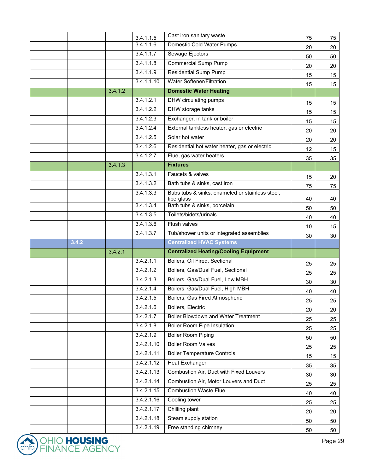|       |         | 3.4.1.1.5              | Cast iron sanitary waste                                      | 75       | 75       |
|-------|---------|------------------------|---------------------------------------------------------------|----------|----------|
|       |         | 3.4.1.1.6              | Domestic Cold Water Pumps                                     | 20       | 20       |
|       |         | 3.4.1.1.7              | Sewage Ejectors                                               | 50       | 50       |
|       |         | 3.4.1.1.8              | <b>Commercial Sump Pump</b>                                   | 20       | 20       |
|       |         | 3.4.1.1.9              | <b>Residential Sump Pump</b>                                  | 15       | 15       |
|       |         | 3.4.1.1.10             | Water Softener/Filtration                                     | 15       | 15       |
|       | 3.4.1.2 |                        | <b>Domestic Water Heating</b>                                 |          |          |
|       |         | 3.4.1.2.1              | DHW circulating pumps                                         | 15       | 15       |
|       |         | 3.4.1.2.2              | DHW storage tanks                                             | 15       | 15       |
|       |         | 3.4.1.2.3              | Exchanger, in tank or boiler                                  | 15       | 15       |
|       |         | 3.4.1.2.4              | External tankless heater, gas or electric                     | 20       | 20       |
|       |         | 3.4.1.2.5              | Solar hot water                                               | 20       | 20       |
|       |         | 3.4.1.2.6              | Residential hot water heater, gas or electric                 | 12       | 15       |
|       |         | $3.\overline{4.1.2.7}$ | Flue, gas water heaters                                       | 35       | 35       |
|       | 3.4.1.3 |                        | <b>Fixtures</b>                                               |          |          |
|       |         | 3.4.1.3.1              | Faucets & valves                                              | 15       | 20       |
|       |         | 3.4.1.3.2              | Bath tubs & sinks, cast iron                                  | 75       | 75       |
|       |         | 3.4.1.3.3              | Bubs tubs & sinks, enameled or stainless steel,<br>fiberglass | 40       | 40       |
|       |         | 3.4.1.3.4              | Bath tubs & sinks, porcelain                                  | 50       | 50       |
|       |         | 3.4.1.3.5              | Toilets/bidets/urinals                                        | 40       | 40       |
|       |         | 3.4.1.3.6              | Flush valves                                                  | 10       | 15       |
|       |         | 3.4.1.3.7              | Tub/shower units or integrated assemblies                     | 30       | 30       |
| 3.4.2 |         |                        | <b>Centralized HVAC Systems</b>                               |          |          |
|       | 3.4.2.1 |                        | <b>Centralized Heating/Cooling Equipment</b>                  |          |          |
|       |         | 3.4.2.1.1              | Boilers, Oil Fired, Sectional                                 |          |          |
|       |         |                        |                                                               |          |          |
|       |         | 3.4.2.1.2              | Boilers, Gas/Dual Fuel, Sectional                             | 25       | 25       |
|       |         | 3.4.2.1.3              | Boilers, Gas/Dual Fuel, Low MBH                               | 25<br>30 | 25       |
|       |         | 3.4.2.1.4              | Boilers, Gas/Dual Fuel, High MBH                              |          | 30       |
|       |         | 3.4.2.1.5              | Boilers, Gas Fired Atmospheric                                | 40       | 40       |
|       |         | 3.4.2.1.6              | Boilers, Electric                                             | 25<br>20 | 25<br>20 |
|       |         | 3.4.2.1.7              | <b>Boiler Blowdown and Water Treatment</b>                    |          |          |
|       |         | 3.4.2.1.8              | <b>Boiler Room Pipe Insulation</b>                            | 25<br>25 | 25<br>25 |
|       |         | 3.4.2.1.9              | <b>Boiler Room Piping</b>                                     | 50       | 50       |
|       |         | 3.4.2.1.10             | <b>Boiler Room Valves</b>                                     |          |          |
|       |         | 3.4.2.1.11             | <b>Boiler Temperature Controls</b>                            | 25<br>15 | 25       |
|       |         | 3.4.2.1.12             | <b>Heat Exchanger</b>                                         | 35       | 15<br>35 |
|       |         | 3.4.2.1.13             | Combustion Air, Duct with Fixed Louvers                       | 30       | 30       |
|       |         | 3.4.2.1.14             | Combustion Air, Motor Louvers and Duct                        | 25       | 25       |
|       |         | 3.4.2.1.15             | <b>Combustion Waste Flue</b>                                  | 40       | 40       |
|       |         | 3.4.2.1.16             | Cooling tower                                                 |          |          |
|       |         | 3.4.2.1.17             | Chilling plant                                                | 25<br>20 | 25<br>20 |
|       |         | 3.4.2.1.18             | Steam supply station<br>Free standing chimney                 | 50       | 50       |

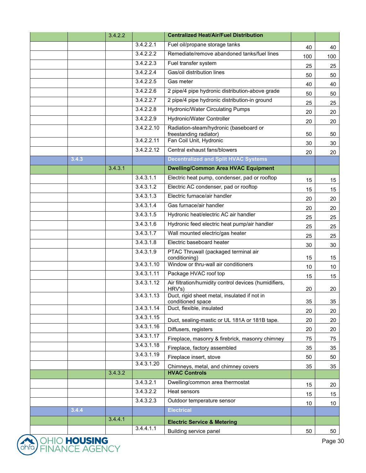|       | 3.4.2.2 |            | <b>Centralized Heat/Air/Fuel Distribution</b>                     |     |                 |
|-------|---------|------------|-------------------------------------------------------------------|-----|-----------------|
|       |         | 3.4.2.2.1  | Fuel oil/propane storage tanks                                    | 40  | 40              |
|       |         | 3.4.2.2.2  | Remediate/remove abandoned tanks/fuel lines                       | 100 | 100             |
|       |         | 3.4.2.2.3  | Fuel transfer system                                              | 25  | 25              |
|       |         | 3.4.2.2.4  | Gas/oil distribution lines                                        | 50  | 50              |
|       |         | 3.4.2.2.5  | Gas meter                                                         | 40  | 40              |
|       |         | 3.4.2.2.6  | 2 pipe/4 pipe hydronic distribution-above grade                   | 50  | 50              |
|       |         | 3.4.2.2.7  | 2 pipe/4 pipe hydronic distribution-in ground                     | 25  | 25              |
|       |         | 3.4.2.2.8  | <b>Hydronic/Water Circulating Pumps</b>                           | 20  | 20              |
|       |         | 3.4.2.2.9  | <b>Hydronic/Water Controller</b>                                  | 20  | 20              |
|       |         | 3.4.2.2.10 | Radiation-steam/hydronic (baseboard or                            |     |                 |
|       |         | 3.4.2.2.11 | freestanding radiator)<br>Fan Coil Unit, Hydronic                 | 50  | 50              |
|       |         | 3.4.2.2.12 | Central exhaust fans/blowers                                      | 30  | 30              |
| 3.4.3 |         |            | <b>Decentralized and Split HVAC Systems</b>                       | 20  | 20              |
|       | 3.4.3.1 |            | <b>Dwelling/Common Area HVAC Equipment</b>                        |     |                 |
|       |         | 3.4.3.1.1  | Electric heat pump, condenser, pad or rooftop                     |     |                 |
|       |         | 3.4.3.1.2  | Electric AC condenser, pad or rooftop                             | 15  | 15              |
|       |         | 3.4.3.1.3  | Electric furnace/air handler                                      | 15  | 15              |
|       |         | 3.4.3.1.4  | Gas furnace/air handler                                           | 20  | 20              |
|       |         | 3.4.3.1.5  | Hydronic heat/electric AC air handler                             | 20  | 20              |
|       |         | 3.4.3.1.6  | Hydronic feed electric heat pump/air handler                      | 25  | 25              |
|       |         | 3.4.3.1.7  | Wall mounted electric/gas heater                                  | 25  | 25              |
|       |         | 3.4.3.1.8  | Electric baseboard heater                                         | 25  | 25              |
|       |         | 3.4.3.1.9  | PTAC Thruwall (packaged terminal air                              | 30  | 30              |
|       |         |            | conditioning)                                                     | 15  | 15              |
|       |         | 3.4.3.1.10 | Window or thru-wall air conditioners                              | 10  | 10 <sup>°</sup> |
|       |         | 3.4.3.1.11 | Package HVAC roof top                                             | 15  | 15              |
|       |         | 3.4.3.1.12 | Air filtration/humidity control devices (humidifiers,<br>HRV's)   | 20  | 20              |
|       |         | 3.4.3.1.13 | Duct, rigid sheet metal, insulated if not in<br>conditioned space | 35  | 35              |
|       |         | 3.4.3.1.14 | Duct, flexible, insulated                                         | 20  | 20              |
|       |         | 3.4.3.1.15 | Duct, sealing-mastic or UL 181A or 181B tape.                     | 20  | 20              |
|       |         | 3.4.3.1.16 | Diffusers, registers                                              | 20  | 20              |
|       |         | 3.4.3.1.17 | Fireplace, masonry & firebrick, masonry chimney                   | 75  | 75              |
|       |         | 3.4.3.1.18 | Fireplace, factory assembled                                      | 35  | 35              |
|       |         | 3.4.3.1.19 | Fireplace insert, stove                                           | 50  | 50              |
|       |         | 3.4.3.1.20 | Chimneys, metal, and chimney covers                               | 35  | 35              |
|       | 3.4.3.2 |            | <b>HVAC Controls</b>                                              |     |                 |
|       |         | 3.4.3.2.1  | Dwelling/common area thermostat                                   | 15  | 20              |
|       |         | 3.4.3.2.2  | Heat sensors                                                      | 15  | 15              |
|       |         | 3.4.3.2.3  | Outdoor temperature sensor                                        | 10  | 10 <sup>°</sup> |
| 3.4.4 |         |            | <b>Electrical</b>                                                 |     |                 |
|       | 3.4.4.1 |            | <b>Electric Service &amp; Metering</b>                            |     |                 |
|       |         | 3.4.4.1.1  | Building service panel                                            | 50  | 50              |

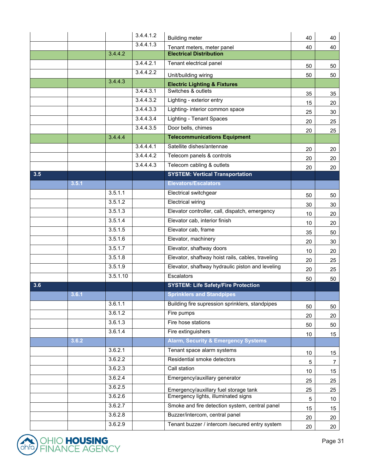|     |       |          | 3.4.4.1.2 | <b>Building meter</b>                             | 40              | 40              |
|-----|-------|----------|-----------|---------------------------------------------------|-----------------|-----------------|
|     |       |          | 3.4.4.1.3 | Tenant meters, meter panel                        | 40              | 40              |
|     |       | 3.4.4.2  |           | <b>Electrical Distribution</b>                    |                 |                 |
|     |       |          | 3.4.4.2.1 | Tenant electrical panel                           | 50              | 50              |
|     |       |          | 3.4.4.2.2 | Unit/building wiring                              | 50              | 50              |
|     |       | 3.4.4.3  |           | <b>Electric Lighting &amp; Fixtures</b>           |                 |                 |
|     |       |          | 3.4.4.3.1 | Switches & outlets                                | 35              | 35              |
|     |       |          | 3.4.4.3.2 | Lighting - exterior entry                         | 15              | 20              |
|     |       |          | 3.4.4.3.3 | Lighting- interior common space                   | 25              | 30              |
|     |       |          | 3.4.4.3.4 | <b>Lighting - Tenant Spaces</b>                   | 20              | 25              |
|     |       |          | 3.4.4.3.5 | Door bells, chimes                                | 20              | 25              |
|     |       | 3.4.4.4  |           | <b>Telecommunications Equipment</b>               |                 |                 |
|     |       |          | 3.4.4.4.1 | Satellite dishes/antennae                         | 20              | 20              |
|     |       |          | 3.4.4.4.2 | Telecom panels & controls                         | 20              | 20              |
|     |       |          | 3.4.4.4.3 | Telecom cabling & outlets                         | 20              | 20              |
| 3.5 |       |          |           | <b>SYSTEM: Vertical Transportation</b>            |                 |                 |
|     | 3.5.1 |          |           | <b>Elevators/Escalators</b>                       |                 |                 |
|     |       | 3.5.1.1  |           | Electrical switchgear                             | 50              | 50              |
|     |       | 3.5.1.2  |           | <b>Electrical wiring</b>                          | 30              | 30              |
|     |       | 3.5.1.3  |           | Elevator controller, call, dispatch, emergency    | 10              | 20              |
|     |       | 3.5.1.4  |           | Elevator cab, interior finish                     | 10              | 20              |
|     |       | 3.5.1.5  |           | Elevator cab, frame                               | 35              | 50              |
|     |       | 3.5.1.6  |           | Elevator, machinery                               | 20              | 30              |
|     |       | 3.5.1.7  |           | Elevator, shaftway doors                          | 10              | 20              |
|     |       | 3.5.1.8  |           | Elevator, shaftway hoist rails, cables, traveling | 20              | 25              |
|     |       | 3.5.1.9  |           | Elevator, shaftway hydraulic piston and leveling  | 20              | 25              |
|     |       | 3.5.1.10 |           | Escalators                                        | 50              | 50              |
| 3.6 |       |          |           | <b>SYSTEM: Life Safety/Fire Protection</b>        |                 |                 |
|     | 3.6.1 |          |           | <b>Sprinklers and Standpipes</b>                  |                 |                 |
|     |       | 3.6.1.1  |           | Building fire supression sprinklers, standpipes   | 50              | 50              |
|     |       | 3.6.1.2  |           | Fire pumps                                        | 20              | 20              |
|     |       | 3.6.1.3  |           | Fire hose stations                                | 50              | 50              |
|     |       | 3.6.1.4  |           | Fire extinguishers                                | 10 <sup>°</sup> | 15              |
|     | 3.6.2 |          |           | <b>Alarm, Security &amp; Emergency Systems</b>    |                 |                 |
|     |       | 3.6.2.1  |           | Tenant space alarm systems                        | 10 <sub>1</sub> | 15              |
|     |       | 3.6.2.2  |           | Residential smoke detectors                       | 5               | $\overline{7}$  |
|     |       | 3.6.2.3  |           | Call station                                      | 10              | 15              |
|     |       | 3.6.2.4  |           | Emergency/auxillary generator                     | 25              | 25              |
|     |       | 3.6.2.5  |           | Emergency/auxillary fuel storage tank             | 25              | 25              |
|     |       | 3.6.2.6  |           | Emergency lights, illuminated signs               | $\overline{5}$  | 10 <sup>°</sup> |
|     |       | 3.6.2.7  |           | Smoke and fire detection system, central panel    | $15\,$          | 15              |
|     |       | 3.6.2.8  |           | Buzzer/intercom, central panel                    | 20              | 20              |
|     |       | 3.6.2.9  |           | Tenant buzzer / intercom /secured entry system    | 20              | 20              |

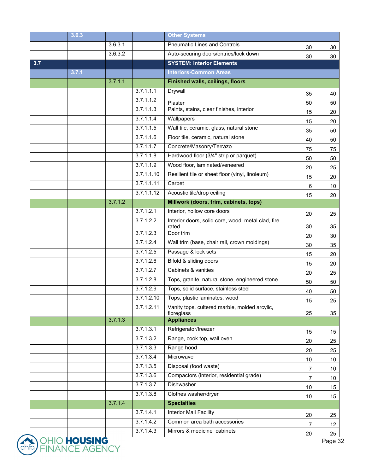|     | 3.6.3     |         |            | <b>Other Systems</b>                                        |                      |                 |
|-----|-----------|---------|------------|-------------------------------------------------------------|----------------------|-----------------|
|     |           | 3.6.3.1 |            | <b>Pneumatic Lines and Controls</b>                         | 30                   | 30              |
|     |           | 3.6.3.2 |            | Auto-securing doors/entries/lock down                       | 30                   | 30              |
| 3.7 |           |         |            | <b>SYSTEM: Interior Elements</b>                            |                      |                 |
|     | 3.7.1     |         |            | <b>Interiors-Common Areas</b>                               |                      |                 |
|     |           | 3.7.1.1 |            | <b>Finished walls, ceilings, floors</b>                     |                      |                 |
|     |           |         | 3.7.1.1.1  | Drywall                                                     | 35                   | 40              |
|     |           |         | 3.7.1.1.2  | Plaster                                                     | 50                   | 50              |
|     |           |         | 3.7.1.1.3  | Paints, stains, clear finishes, interior                    | 15                   | 20              |
|     |           |         | 3.7.1.1.4  | Wallpapers                                                  | 15                   | 20              |
|     |           |         | 3.7.1.1.5  | Wall tile, ceramic, glass, natural stone                    | 35                   | 50              |
|     |           |         | 3.7.1.1.6  | Floor tile, ceramic, natural stone                          | 40                   | 50              |
|     |           |         | 3.7.1.1.7  | Concrete/Masonry/Terrazo                                    | 75                   | 75              |
|     |           |         | 3.7.1.1.8  | Hardwood floor (3/4" strip or parquet)                      | 50                   | 50              |
|     |           |         | 3.7.1.1.9  | Wood floor, laminated/veneered                              | 20                   | 25              |
|     |           |         | 3.7.1.1.10 | Resilient tile or sheet floor (vinyl, linoleum)             | 15                   | 20              |
|     |           |         | 3.7.1.1.11 | Carpet                                                      | 6                    | 10              |
|     |           |         | 3.7.1.1.12 | Acoustic tile/drop ceiling                                  | 15                   | 20              |
|     |           | 3.7.1.2 |            | Millwork (doors, trim, cabinets, tops)                      |                      |                 |
|     |           |         | 3.7.1.2.1  | Interior, hollow core doors                                 | 20                   | 25              |
|     |           |         | 3.7.1.2.2  | Interior doors, solid core, wood, metal clad, fire<br>rated | 30                   | 35              |
|     |           |         | 3.7.1.2.3  | Door trim                                                   | 20                   | 30              |
|     |           |         | 3.7.1.2.4  | Wall trim (base, chair rail, crown moldings)                | 30                   | 35              |
|     |           |         | 3.7.1.2.5  | Passage & lock sets                                         | 15                   | 20              |
|     |           |         | 3.7.1.2.6  | Bifold & sliding doors                                      | 15                   | 20              |
|     |           |         | 3.7.1.2.7  | Cabinets & vanities                                         | 20                   | 25              |
|     |           |         | 3.7.1.2.8  | Tops, granite, natural stone, engineered stone              | 50                   | 50              |
|     |           |         | 3.7.1.2.9  | Tops, solid surface, stainless steel                        | 40                   | 50              |
|     |           |         | 3.7.1.2.10 | Tops, plastic laminates, wood                               | 15                   | 25              |
|     |           |         | 3.7.1.2.11 | Vanity tops, cultered marble, molded arcylic,               |                      |                 |
|     |           | 3.7.1.3 |            | fibreglass<br><b>Appliances</b>                             | 25                   | 35              |
|     |           |         | 3.7.1.3.1  | Refrigerator/freezer                                        |                      |                 |
|     |           |         | 3.7.1.3.2  | Range, cook top, wall oven                                  | 15                   | 15              |
|     |           |         | 3.7.1.3.3  | Range hood                                                  | 20                   | 25              |
|     |           |         | 3.7.1.3.4  | Microwave                                                   | 20                   | 25              |
|     |           |         | 3.7.1.3.5  | Disposal (food waste)                                       | 10                   | 10              |
|     |           |         | 3.7.1.3.6  | Compactors (interior, residential grade)                    | 7                    | 10              |
|     |           |         | 3.7.1.3.7  | <b>Dishwasher</b>                                           | $\overline{7}$<br>10 | 10 <sup>°</sup> |
|     |           |         | 3.7.1.3.8  | Clothes washer/dryer                                        |                      | 15              |
|     |           | 3.7.1.4 |            | <b>Specialties</b>                                          | 10                   | 15              |
|     |           |         | 3.7.1.4.1  | Interior Mail Facility                                      | 20                   | 25              |
|     |           |         | 3.7.1.4.2  | Common area bath accessories                                |                      |                 |
|     |           |         | 3.7.1.4.3  | Mirrors & medicine cabinets                                 | 7                    | 12 <sub>2</sub> |
|     | UAI ICINA |         |            |                                                             | 20                   | 25              |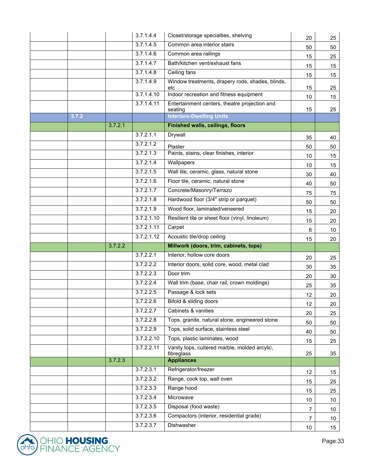|       |         | 3.7.1.4.4              | Closet/storage specialties, shelving                        | 20              | 25              |
|-------|---------|------------------------|-------------------------------------------------------------|-----------------|-----------------|
|       |         | 3.7.1.4.5              | Common area interior stairs                                 | 50              | 50              |
|       |         | 3.7.1.4.6              | Common area railings                                        | 15              | 25              |
|       |         | 3.7.1.4.7              | Bath/kitchen vent/exhaust fans                              | 15              | 15              |
|       |         | 3.7.1.4.8              | Ceiling fans                                                | 15              | 15              |
|       |         | 3.7.1.4.9              | Window treatments, drapery rods, shades, blinds,<br>etc     | 15              | 25              |
|       |         | 3.7.1.4.10             | Indoor recreation and fitness equipment                     | 10              | 15              |
|       |         | 3.7.1.4.11             | Entertainment centers, theatre projection and<br>seating    | 15              | 25              |
| 3.7.2 |         |                        | <b>Interiors-Dwelling Units</b>                             |                 |                 |
|       | 3.7.2.1 |                        | <b>Finished walls, ceilings, floors</b>                     |                 |                 |
|       |         | 3.7.2.1.1              | Drywall                                                     | 35              | 40              |
|       |         | 3.7.2.1.2              | Plaster                                                     | 50              | 50              |
|       |         | 3.7.2.1.3              | Paints, stains, clear finishes, interior                    | 10              | 15              |
|       |         | 3.7.2.1.4              | Wallpapers                                                  | 10              | 15              |
|       |         | 3.7.2.1.5              | Wall tile, ceramic, glass, natural stone                    | 30              | 40              |
|       |         | 3.7.2.1.6              | Floor tile, ceramic, natural stone                          | 40              | 50              |
|       |         | 3.7.2.1.7              | Concrete/Masonry/Terrazo                                    | 75              | 75              |
|       |         | 3.7.2.1.8              | Hardwood floor (3/4" strip or parquet)                      | 50              | 50              |
|       |         | 3.7.2.1.9              | Wood floor, laminated/veneered                              | 15              | 20              |
|       |         | 3.7.2.1.10             | Resilient tile or sheet floor (vinyl, linoleum)             | 15              | 20              |
|       |         | 3.7.2.1.11             | Carpet                                                      | 6               | 10              |
|       |         | 3.7.2.1.12             | Acoustic tile/drop ceiling                                  |                 |                 |
|       |         |                        |                                                             | 15              | 20              |
|       | 3.7.2.2 |                        | Millwork (doors, trim, cabinets, tops)                      |                 |                 |
|       |         | 3.7.2.2.1              | Interior, hollow core doors                                 | 20              | 25              |
|       |         | 3.7.2.2.2              | Interior doors, solid core, wood, metal clad                | 30              |                 |
|       |         | 3.7.2.2.3              | Door trim                                                   | 20              | 35<br>30        |
|       |         | 3.7.2.2.4              | Wall trim (base, chair rail, crown moldings)                | 25              | 35              |
|       |         | 3.7.2.2.5              | Passage & lock sets                                         | 12              | 20              |
|       |         | 3.7.2.2.6              | Bifold & sliding doors                                      | 12              |                 |
|       |         | 3.7.2.2.7              | Cabinets & vanities                                         | 20              | 20<br>25        |
|       |         | 3.7.2.2.8              | Tops, granite, natural stone, engineered stone              | 50              | 50              |
|       |         | 3.7.2.2.9              | Tops, solid surface, stainless steel                        | 40              | 50              |
|       |         | 3.7.2.2.10             | Tops, plastic laminates, wood                               | 15              | 25              |
|       |         | 3.7.2.2.11             | Vanity tops, cultered marble, molded arcylic,<br>fibreglass | 25              | 35              |
|       | 3.7.2.3 |                        | <b>Appliances</b>                                           |                 |                 |
|       |         | 3.7.2.3.1              | Refrigerator/freezer                                        | 12 <sup>°</sup> | 15              |
|       |         | 3.7.2.3.2              | Range, cook top, wall oven                                  | 15              | 25              |
|       |         | 3.7.2.3.3              | Range hood                                                  | 15              | 25              |
|       |         | 3.7.2.3.4              | Microwave                                                   | 10 <sup>°</sup> | 10 <sup>°</sup> |
|       |         | 3.7.2.3.5              | Disposal (food waste)                                       | 7               | 10              |
|       |         | 3.7.2.3.6<br>3.7.2.3.7 | Compactors (interior, residential grade)<br>Dishwasher      | 7               | 10 <sub>1</sub> |